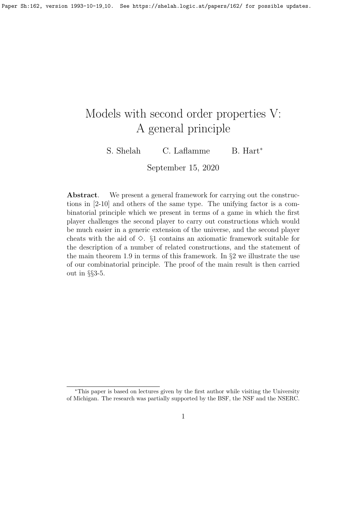# Models with second order properties V: A general principle

S. Shelah C. Laflamme B. Hart<sup>\*</sup>

September 15, 2020

Abstract. We present a general framework for carrying out the constructions in [2-10] and others of the same type. The unifying factor is a combinatorial principle which we present in terms of a game in which the first player challenges the second player to carry out constructions which would be much easier in a generic extension of the universe, and the second player cheats with the aid of  $\Diamond$ . §1 contains an axiomatic framework suitable for the description of a number of related constructions, and the statement of the main theorem 1.9 in terms of this framework. In §2 we illustrate the use of our combinatorial principle. The proof of the main result is then carried out in §§3-5.

<sup>∗</sup>This paper is based on lectures given by the first author while visiting the University of Michigan. The research was partially supported by the BSF, the NSF and the NSERC.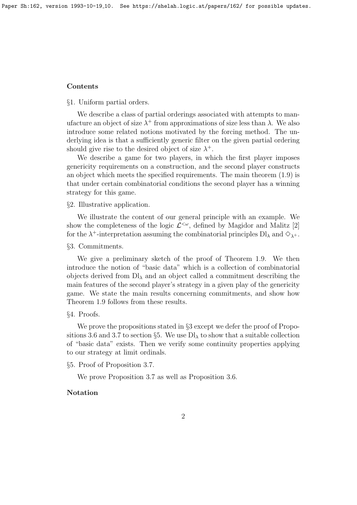#### Contents

§1. Uniform partial orders.

We describe a class of partial orderings associated with attempts to manufacture an object of size  $\lambda^+$  from approximations of size less than  $\lambda$ . We also introduce some related notions motivated by the forcing method. The underlying idea is that a sufficiently generic filter on the given partial ordering should give rise to the desired object of size  $\lambda^+$ .

We describe a game for two players, in which the first player imposes genericity requirements on a construction, and the second player constructs an object which meets the specified requirements. The main theorem (1.9) is that under certain combinatorial conditions the second player has a winning strategy for this game.

#### §2. Illustrative application.

We illustrate the content of our general principle with an example. We show the completeness of the logic  $\mathcal{L}^{\leq \omega}$ , defined by Magidor and Malitz [2] for the  $\lambda^+$ -interpretation assuming the combinatorial principles  $\text{DI}_\lambda$  and  $\diamondsuit_{\lambda^+}$ .

## §3. Commitments.

We give a preliminary sketch of the proof of Theorem 1.9. We then introduce the notion of "basic data" which is a collection of combinatorial objects derived from  $D\mathcal{L}_{\lambda}$  and an object called a commitment describing the main features of the second player's strategy in a given play of the genericity game. We state the main results concerning commitments, and show how Theorem 1.9 follows from these results.

### §4. Proofs.

We prove the propositions stated in  $\S$ 3 except we defer the proof of Propositions 3.6 and 3.7 to section §5. We use  $\text{Dl}_{\lambda}$  to show that a suitable collection of "basic data" exists. Then we verify some continuity properties applying to our strategy at limit ordinals.

§5. Proof of Proposition 3.7.

We prove Proposition 3.7 as well as Proposition 3.6.

# Notation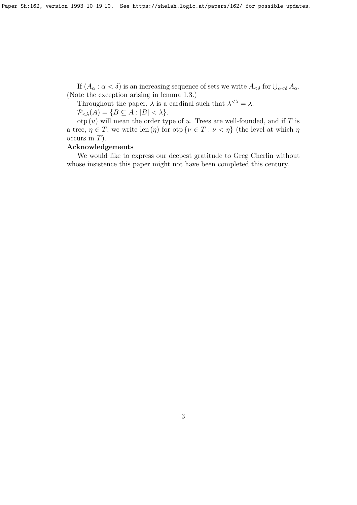If  $(A_\alpha: \alpha < \delta)$  is an increasing sequence of sets we write  $A_{\leq \delta}$  for  $\bigcup_{\alpha < \delta} A_\alpha$ . (Note the exception arising in lemma 1.3.)

Throughout the paper,  $\lambda$  is a cardinal such that  $\lambda^{<\lambda} = \lambda$ .

 $\mathcal{P}_{\leq \lambda}(A) = \{ B \subseteq A : |B| < \lambda \}.$ 

otp  $(u)$  will mean the order type of u. Trees are well-founded, and if T is a tree,  $\eta \in T$ , we write len  $(\eta)$  for otp  $\{\nu \in T : \nu < \eta\}$  (the level at which  $\eta$ occurs in  $T$ ).

# Acknowledgements

We would like to express our deepest gratitude to Greg Cherlin without whose insistence this paper might not have been completed this century.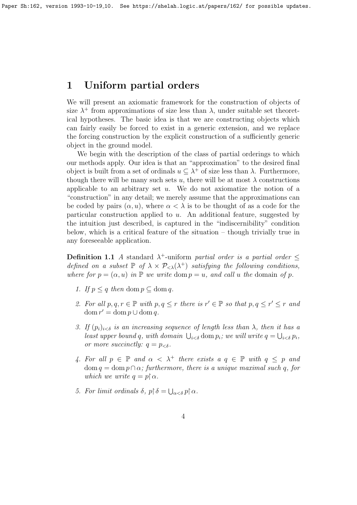# 1 Uniform partial orders

We will present an axiomatic framework for the construction of objects of size  $\lambda^+$  from approximations of size less than  $\lambda$ , under suitable set theoretical hypotheses. The basic idea is that we are constructing objects which can fairly easily be forced to exist in a generic extension, and we replace the forcing construction by the explicit construction of a sufficiently generic object in the ground model.

We begin with the description of the class of partial orderings to which our methods apply. Our idea is that an "approximation" to the desired final object is built from a set of ordinals  $u \subseteq \lambda^+$  of size less than  $\lambda$ . Furthermore, though there will be many such sets u, there will be at most  $\lambda$  constructions applicable to an arbitrary set  $u$ . We do not axiomatize the notion of a "construction" in any detail; we merely assume that the approximations can be coded by pairs  $(\alpha, u)$ , where  $\alpha < \lambda$  is to be thought of as a code for the particular construction applied to  $u$ . An additional feature, suggested by the intuition just described, is captured in the "indiscernibility" condition below, which is a critical feature of the situation – though trivially true in any foreseeable application.

**Definition 1.1** A standard  $\lambda^+$ -uniform partial order is a partial order  $\leq$ defined on a subset  $\mathbb P$  of  $\lambda \times \mathcal P_{\leq \lambda}(\lambda^+)$  satisfying the following conditions, where for  $p = (\alpha, u)$  in  $\mathbb P$  we write dom  $p = u$ , and call u the domain of p.

- 1. If  $p \leq q$  then dom  $p \subset \text{dom } q$ .
- 2. For all  $p, q, r \in \mathbb{P}$  with  $p, q \leq r$  there is  $r' \in \mathbb{P}$  so that  $p, q \leq r' \leq r$  and  $\text{dom } r' = \text{dom } p \cup \text{dom } q.$
- 3. If  $(p_i)_{i \leq \delta}$  is an increasing sequence of length less than  $\lambda$ , then it has a least upper bound q, with domain  $\bigcup_{i < \delta} \text{dom } p_i$ ; we will write  $q = \bigcup_{i < \delta} p_i$ , or more succinctly:  $q = p_{\leq \delta}$ .
- 4. For all  $p \in \mathbb{P}$  and  $\alpha < \lambda^+$  there exists  $a \in \mathbb{P}$  with  $q \leq p$  and  $dom q = dom p \cap \alpha$ ; furthermore, there is a unique maximal such q, for which we write  $q = p \upharpoonright \alpha$ .
- 5. For limit ordinals  $\delta$ ,  $p \restriction \delta = \bigcup_{\alpha < \delta} p \restriction \alpha$ .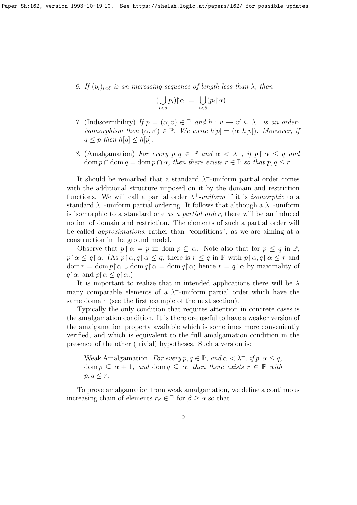6. If  $(p_i)_{i \leq \delta}$  is an increasing sequence of length less than  $\lambda$ , then

$$
\big(\bigcup_{i<\delta}p_i\big)\big\upharpoonright\alpha\ =\ \bigcup_{i<\delta}(p_i\big\upharpoonright\alpha).
$$

- 7. (Indiscernibility) If  $p = (\alpha, v) \in \mathbb{P}$  and  $h : v \to v' \subseteq \lambda^+$  is an orderisomorphism then  $(\alpha, v') \in \mathbb{P}$ . We write  $h[p] = (\alpha, h[v])$ . Moreover, if  $q \leq p$  then  $h[q] \leq h[p]$ .
- 8. (Amalgamation) For every  $p, q \in \mathbb{P}$  and  $\alpha < \lambda^+$ , if  $p \restriction \alpha \leq q$  and  $\text{dom } p \cap \text{dom } q = \text{dom } p \cap \alpha$ , then there exists  $r \in \mathbb{P}$  so that  $p, q \leq r$ .

It should be remarked that a standard  $\lambda^+$ -uniform partial order comes with the additional structure imposed on it by the domain and restriction functions. We will call a partial order  $\lambda^+$ -uniform if it is *isomorphic* to a standard  $\lambda^+$ -uniform partial ordering. It follows that although a  $\lambda^+$ -uniform is isomorphic to a standard one as a partial order, there will be an induced notion of domain and restriction. The elements of such a partial order will be called approximations, rather than "conditions", as we are aiming at a construction in the ground model.

Observe that  $p \restriction \alpha = p$  iff dom  $p \subseteq \alpha$ . Note also that for  $p \leq q$  in  $\mathbb{P}$ ,  $p \nvert \alpha \leq q \nvert \alpha$ . (As  $p \nvert \alpha, q \nvert \alpha \leq q$ , there is  $r \leq q$  in  $\mathbb P$  with  $p \nvert \alpha, q \nvert \alpha \leq r$  and  $\text{dom } r = \text{dom } p \restriction \alpha \cup \text{dom } q \restriction \alpha = \text{dom } q \restriction \alpha$ ; hence  $r = q \restriction \alpha$  by maximality of  $q \upharpoonright \alpha$ , and  $p \upharpoonright \alpha \leq q \upharpoonright \alpha$ .)

It is important to realize that in intended applications there will be  $\lambda$ many comparable elements of a  $\lambda^+$ -uniform partial order which have the same domain (see the first example of the next section).

Typically the only condition that requires attention in concrete cases is the amalgamation condition. It is therefore useful to have a weaker version of the amalgamation property available which is sometimes more conveniently verified, and which is equivalent to the full amalgamation condition in the presence of the other (trivial) hypotheses. Such a version is:

Weak Amalgamation. For every  $p, q \in \mathbb{P}$ , and  $\alpha < \lambda^+$ , if  $p \restriction \alpha \leq q$ , dom  $p \subseteq \alpha + 1$ , and dom  $q \subseteq \alpha$ , then there exists  $r \in \mathbb{P}$  with  $p, q \leq r$ .

To prove amalgamation from weak amalgamation, we define a continuous increasing chain of elements  $r_\beta \in \mathbb{P}$  for  $\beta \geq \alpha$  so that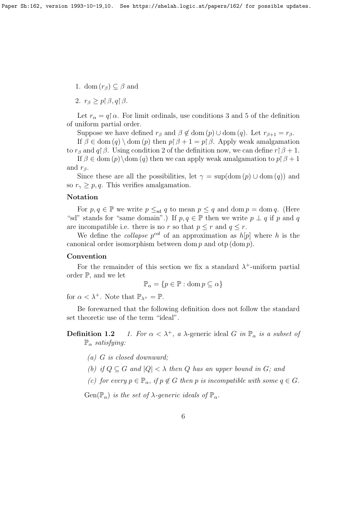- 1. dom  $(r_\beta) \subset \beta$  and
- 2.  $r_{\beta} \geq p \upharpoonright \beta, q \upharpoonright \beta$ .

Let  $r_{\alpha} = q \nvert \alpha$ . For limit ordinals, use conditions 3 and 5 of the definition of uniform partial order.

Suppose we have defined  $r_\beta$  and  $\beta \notin \text{dom}(p) \cup \text{dom}(q)$ . Let  $r_{\beta+1} = r_\beta$ .

If  $\beta \in \text{dom}(q) \setminus \text{dom}(p)$  then  $p \upharpoonright \beta + 1 = p \upharpoonright \beta$ . Apply weak amalgamation to  $r_\beta$  and  $q\upharpoonright\beta$ . Using condition 2 of the definition now, we can define  $r\upharpoonright\beta+1$ .

If  $\beta \in \text{dom}(p) \setminus \text{dom}(q)$  then we can apply weak amalgamation to  $p \upharpoonright \beta + 1$ and  $r_{\beta}$ .

Since these are all the possibilities, let  $\gamma = \sup(\text{dom}(p) \cup \text{dom}(q))$  and so  $r_{\gamma} \geq p, q$ . This verifies amalgamation.

# Notation

For  $p, q \in \mathbb{P}$  we write  $p \leq_{sd} q$  to mean  $p \leq q$  and dom  $p = \text{dom } q$ . (Here "sd" stands for "same domain".) If  $p, q \in \mathbb{P}$  then we write  $p \perp q$  if p and q are incompatible i.e. there is no r so that  $p \leq r$  and  $q \leq r$ .

We define the *collapse*  $p^{col}$  of an approximation as  $h[p]$  where h is the canonical order isomorphism between dom  $p$  and otp (dom  $p$ ).

### Convention

For the remainder of this section we fix a standard  $\lambda^+$ -uniform partial order P, and we let

$$
\mathbb{P}_{\alpha} = \{ p \in \mathbb{P} : \text{dom } p \subseteq \alpha \}
$$

for  $\alpha < \lambda^+$ . Note that  $\mathbb{P}_{\lambda^+} = \mathbb{P}$ .

Be forewarned that the following definition does not follow the standard set theoretic use of the term "ideal".

**Definition 1.2** 1. For  $\alpha < \lambda^+$ , a  $\lambda$ -generic ideal G in  $\mathbb{P}_{\alpha}$  is a subset of  $\mathbb{P}_{\alpha}$  satisfying:

- (a) G is closed downward;
- (b) if  $Q \subseteq G$  and  $|Q| < \lambda$  then Q has an upper bound in G; and

(c) for every  $p \in \mathbb{P}_{\alpha}$ , if  $p \notin G$  then p is incompatible with some  $q \in G$ .

 $Gen(\mathbb{P}_{\alpha})$  is the set of  $\lambda$ -generic ideals of  $\mathbb{P}_{\alpha}$ .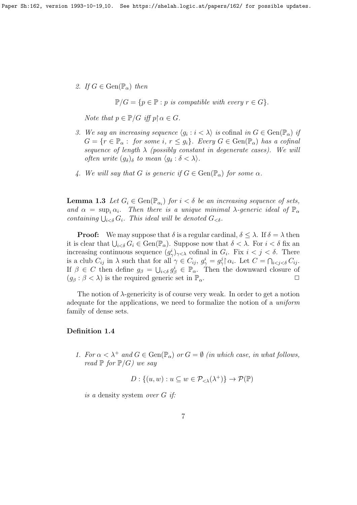2. If  $G \in \text{Gen}(\mathbb{P}_{\alpha})$  then

 $\mathbb{P}/G = \{p \in \mathbb{P} : p \text{ is compatible with every } r \in G\}.$ 

Note that  $p \in \mathbb{P}/G$  iff  $p \upharpoonright \alpha \in G$ .

- 3. We say an increasing sequence  $\langle g_i : i \langle \lambda \rangle$  is cofinal in  $G \in \text{Gen}(\mathbb{P}_{\alpha})$  if  $G = \{r \in \mathbb{P}_{\alpha} : for some i, r \leq g_i\}.$  Every  $G \in \text{Gen}(\mathbb{P}_{\alpha})$  has a cofinal sequence of length  $\lambda$  (possibly constant in degenerate cases). We will often write  $(g_{\delta})_{\delta}$  to mean  $\langle g_{\delta} : \delta < \lambda \rangle$ .
- 4. We will say that G is generic if  $G \in \text{Gen}(\mathbb{P}_{\alpha})$  for some  $\alpha$ .

**Lemma 1.3** Let  $G_i \in \text{Gen}(\mathbb{P}_{\alpha_i})$  for  $i < \delta$  be an increasing sequence of sets, and  $\alpha = \sup_i \alpha_i$ . Then there is a unique minimal  $\lambda$ -generic ideal of  $\mathbb{P}_{\alpha}$ containing  $\bigcup_{i < \delta} G_i$ . This ideal will be denoted  $G_{\leq \delta}$ .

**Proof:** We may suppose that  $\delta$  is a regular cardinal,  $\delta \leq \lambda$ . If  $\delta = \lambda$  then it is clear that  $\bigcup_{i<\delta} G_i \in \text{Gen}(\mathbb{P}_\alpha)$ . Suppose now that  $\delta < \lambda$ . For  $i < \delta$  fix an increasing continuous sequence  $(g^i_\gamma)_{\gamma<\lambda}$  cofinal in  $G_i$ . Fix  $i < j < \delta$ . There is a club  $C_{ij}$  in  $\lambda$  such that for all  $\gamma \in C_{ij}$ ,  $g^i_\gamma = g^j_\gamma {\upharpoonright} \alpha_i$ . Let  $C = \bigcap_{i < j < \delta} C_{ij}$ . If  $\beta \in C$  then define  $g_{\beta} = \bigcup_{i < \delta} g_{\beta}^i \in \mathbb{P}_{\alpha}$ . Then the downward closure of  $(g_{\beta} : \beta < \lambda)$  is the required generic set in  $\mathbb{P}_{\alpha}$ .

The notion of  $\lambda$ -genericity is of course very weak. In order to get a notion adequate for the applications, we need to formalize the notion of a uniform family of dense sets.

# Definition 1.4

1. For  $\alpha < \lambda^+$  and  $G \in \text{Gen}(\mathbb{P}_\alpha)$  or  $G = \emptyset$  (in which case, in what follows, read  $\mathbb P$  for  $\mathbb P/G$ ) we say

 $D: \{(u, w) : u \subseteq w \in \mathcal{P}_{\leq \lambda}(\lambda^+) \} \to \mathcal{P}(\mathbb{P})$ 

is a density system over G if: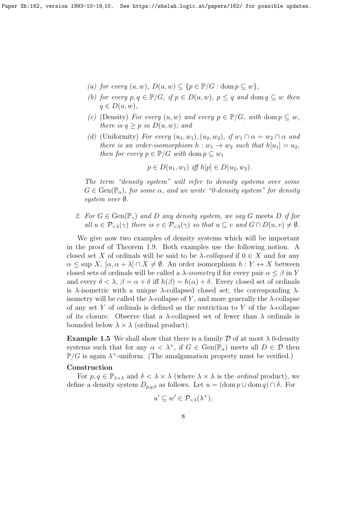- (a) for every  $(u, w)$ ,  $D(u, w) \subseteq \{p \in \mathbb{P}/G : \text{dom } p \subseteq w\},\$
- (b) for every  $p, q \in \mathbb{P}/G$ , if  $p \in D(u, w)$ ,  $p \leq q$  and dom  $q \subseteq w$  then  $q \in D(u, w),$
- (c) (Density) For every  $(u, w)$  and every  $p \in \mathbb{P}/G$ , with dom  $p \subseteq w$ , there is  $q > p$  in  $D(u, w)$ ; and
- (d) (Uniformity) For every  $(u_1, w_1), (u_2, w_2),$  if  $w_1 \cap \alpha = w_2 \cap \alpha$  and there is an order-isomorphism  $h: w_1 \to w_2$  such that  $h[u_1] = u_2$ , then for every  $p \in \mathbb{P}/G$  with dom  $p \subseteq w_1$

 $p \in D(u_1, w_1)$  iff  $h[p] \in D(u_2, w_2)$ .

The term "density system" will refer to density systems over some  $G \in \text{Gen}(\mathbb{P}_{\alpha})$ , for some  $\alpha$ , and we write "0-density system" for density system over ∅.

2. For  $G \in \text{Gen}(\mathbb{P}_\gamma)$  and D any density system, we say G meets D if for all  $u \in \mathcal{P}_{< \lambda}(\gamma)$  there is  $v \in \mathcal{P}_{< \lambda}(\gamma)$  so that  $u \subseteq v$  and  $G \cap D(u, v) \neq \emptyset$ .

We give now two examples of density systems which will be important in the proof of Theorem 1.9. Both examples use the following notion. A closed set X of ordinals will be said to be  $\lambda$ -collapsed if  $0 \in X$  and for any  $\alpha \leq \sup X$ ,  $[\alpha, \alpha + \lambda] \cap X \neq \emptyset$ . An order isomorphism  $h: Y \leftrightarrow X$  between closed sets of ordinals will be called a  $\lambda$ -isometry if for every pair  $\alpha \leq \beta$  in Y and every  $\delta < \lambda$ ,  $\beta = \alpha + \delta$  iff  $h(\beta) = h(\alpha) + \delta$ . Every closed set of ordinals is  $\lambda$ -isometric with a unique  $\lambda$ -collapsed closed set; the corresponding  $\lambda$ isometry will be called the  $\lambda$ -collapse of Y, and more generally the  $\lambda$ -collapse of any set Y of ordinals is defined as the restriction to Y of the  $\lambda$ -collapse of its closure. Observe that a  $\lambda$ -collapsed set of fewer than  $\lambda$  ordinals is bounded below  $\lambda \times \lambda$  (ordinal product).

**Example 1.5** We shall show that there is a family  $\mathcal D$  of at most  $\lambda$  0-density systems such that for any  $\alpha < \lambda^+$ , if  $G \in \text{Gen}(\mathbb{P}_\alpha)$  meets all  $D \in \mathcal{D}$  then  $\mathbb{P}/G$  is again  $\lambda^+$ -uniform. (The amalgamation property must be verified.)

# Construction

For  $p, q \in \mathbb{P}_{\lambda \times \lambda}$  and  $\delta < \lambda \times \lambda$  (where  $\lambda \times \lambda$  is the *ordinal* product), we define a density system  $D_{p,q,\delta}$  as follows. Let  $u = (\text{dom } p \cup \text{dom } q) \cap \delta$ . For

$$
u' \subseteq w' \in \mathcal{P}_{< \lambda}(\lambda^+),
$$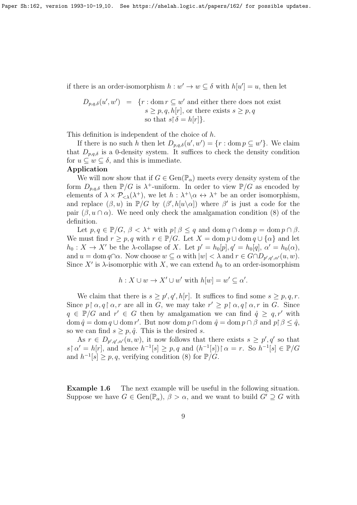if there is an order-isomorphism  $h : w' \to w \subseteq \delta$  with  $h[u'] = u$ , then let

$$
D_{p,q,\delta}(u',w') = \{r : \text{dom } r \subseteq w' \text{ and either there does not exist } s \ge p, q, h[r], \text{ or there exists } s \ge p, q \text{ so that } s \upharpoonright \delta = h[r] \}.
$$

This definition is independent of the choice of h.

If there is no such h then let  $D_{p,q,\delta}(u',w') = \{r : \text{dom } p \subseteq w'\}.$  We claim that  $D_{p,q,\delta}$  is a 0-density system. It suffices to check the density condition for  $u \subseteq w \subseteq \delta$ , and this is immediate.

### Application

We will now show that if  $G \in \text{Gen}(\mathbb{P}_{\alpha})$  meets every density system of the form  $D_{p,q,\delta}$  then  $\mathbb{P}/G$  is  $\lambda^+$ -uniform. In order to view  $\mathbb{P}/G$  as encoded by elements of  $\lambda \times \mathcal{P}_{\leq \lambda}(\lambda^+),$  we let  $h : \lambda^+ \backslash \alpha \leftrightarrow \lambda^+$  be an order isomorphism, and replace  $(\beta, u)$  in  $\mathbb{P}/G$  by  $(\beta', h[u\setminus\alpha])$  where  $\beta'$  is just a code for the pair  $(\beta, u \cap \alpha)$ . We need only check the amalgamation condition (8) of the definition.

Let  $p, q \in \mathbb{P}/G$ ,  $\beta < \lambda^+$  with  $p \upharpoonright \beta \leq q$  and  $\text{dom } q \cap \text{dom } p = \text{dom } p \cap \beta$ . We must find  $r \geq p, q$  with  $r \in \mathbb{P}/G$ . Let  $X = \text{dom } p \cup \text{dom } q \cup \{\alpha\}$  and let  $h_0: X \to X'$  be the  $\lambda$ -collapse of X. Let  $p' = h_0[p], q' = h_0[q], \alpha' = h_0(\alpha)$ , and  $u = \text{dom } q \cap \alpha$ . Now choose  $w \subseteq \alpha$  with  $|w| < \lambda$  and  $r \in G \cap D_{p',q',\alpha'}(u,w)$ . Since X' is  $\lambda$ -isomorphic with X, we can extend  $h_0$  to an order-isomorphism

$$
h: X \cup w \to X' \cup w' \text{ with } h[w] = w' \subseteq \alpha'.
$$

We claim that there is  $s \geq p', q', h[r]$ . It suffices to find some  $s \geq p, q, r$ . Since  $p \restriction \alpha, q \restriction \alpha, r$  are all in G, we may take  $r' \geq p \restriction \alpha, q \restriction \alpha, r$  in G. Since  $q \in \mathbb{P}/G$  and  $r' \in G$  then by amalgamation we can find  $\hat{q} \geq q, r'$  with  $\text{dom } \hat{q} = \text{dom } q \cup \text{dom } r'$ . But now  $\text{dom } p \cap \text{dom } \hat{q} = \text{dom } p \cap \beta$  and  $p \upharpoonright \beta \leq \hat{q}$ , so we can find  $s > p, \hat{q}$ . This is the desired s.

As  $r \in D_{p',q',\alpha'}(u,w)$ , it now follows that there exists  $s \geq p', q'$  so that  $s \upharpoonright \alpha' = h[r]$ , and hence  $h^{-1}[s] \geq p, q$  and  $(h^{-1}[s]) \upharpoonright \alpha = r$ . So  $h^{-1}[s] \in \mathbb{P}/G$ and  $h^{-1}[s] \geq p, q$ , verifying condition (8) for  $\mathbb{P}/G$ .

**Example 1.6** The next example will be useful in the following situation. Suppose we have  $G \in \text{Gen}(\mathbb{P}_{\alpha}), \beta > \alpha$ , and we want to build  $G' \supseteq G$  with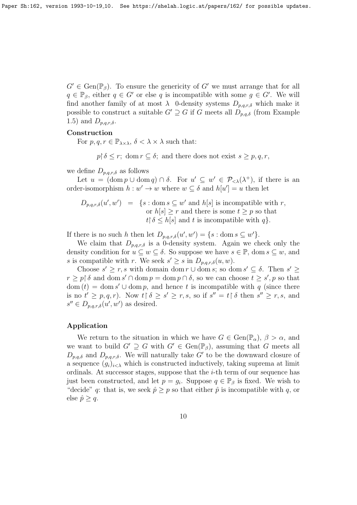$G' \in \text{Gen}(\mathbb{P}_{\beta})$ . To ensure the genericity of G' we must arrange that for all  $q \in \mathbb{P}_{\beta}$ , either  $q \in G'$  or else q is incompatible with some  $g \in G'$ . We will find another family of at most  $\lambda$  0-density systems  $D_{p,q,r,\delta}$  which make it possible to construct a suitable  $G' \supseteq G$  if G meets all  $D_{p,q,\delta}$  (from Example 1.5) and  $D_{p,q,r,\delta}$ .

#### Construction

For  $p, q, r \in \mathbb{P}_{\lambda \times \lambda}, \delta \leq \lambda \times \lambda$  such that:

 $p \restriction \delta \leq r$ ; dom  $r \subseteq \delta$ ; and there does not exist  $s \geq p, q, r$ ,

we define  $D_{p,q,r,\delta}$  as follows

Let  $u = (\text{dom } p \cup \text{dom } q) \cap \delta$ . For  $u' \subseteq w' \in \mathcal{P}_{< \lambda}(\lambda^+),$  if there is an order-isomorphism  $h : w' \to w$  where  $w \subseteq \delta$  and  $h[u'] = u$  then let

 $D_{p,q,r,\delta}(u',w') = \{s : \text{dom } s \subseteq w' \text{ and } h[s] \text{ is incompatible with } r,$ or  $h[s] \geq r$  and there is some  $t \geq p$  so that  $t \upharpoonright \delta \leq h[s]$  and t is incompatible with q}.

If there is no such h then let  $D_{p,q,r,\delta}(u',w') = \{s : \text{dom } s \subseteq w'\}.$ 

We claim that  $D_{p,q,r,\delta}$  is a 0-density system. Again we check only the density condition for  $u \subseteq w \subseteq \delta$ . So suppose we have  $s \in \mathbb{P}$ , dom  $s \subseteq w$ , and s is compatible with r. We seek  $s' \geq s$  in  $D_{p,q,r,\delta}(u, w)$ .

Choose  $s' \geq r$ , s with domain dom  $r \cup$  dom  $s$ ; so dom  $s' \subseteq \delta$ . Then  $s' \geq$  $r \geq p \restriction \delta$  and dom  $s' \cap \text{dom } p = \text{dom } p \cap \delta$ , so we can choose  $t \geq s'$ , p so that  $dom(t) = dom s' \cup dom p$ , and hence t is incompatible with q (since there is no  $t' \geq p, q, r$ ). Now  $t \upharpoonright \delta \geq s' \geq r, s$ , so if  $s'' = t \upharpoonright \delta$  then  $s'' \geq r, s$ , and  $s'' \in D_{p,q,r,\delta}(u',w')$  as desired.

## Application

We return to the situation in which we have  $G \in \text{Gen}(\mathbb{P}_{\alpha})$ ,  $\beta > \alpha$ , and we want to build  $G' \supseteq G$  with  $G' \in \text{Gen}(\mathbb{P}_{\beta})$ , assuming that G meets all  $D_{p,q,\delta}$  and  $D_{p,q,r,\delta}$ . We will naturally take G' to be the downward closure of a sequence  $(g_i)_{i\leq \lambda}$  which is constructed inductively, taking suprema at limit ordinals. At successor stages, suppose that the  $i$ -th term of our sequence has just been constructed, and let  $p = g_i$ . Suppose  $q \in \mathbb{P}_{\beta}$  is fixed. We wish to "decide" q: that is, we seek  $\hat{p} \geq p$  so that either  $\hat{p}$  is incompatible with q, or else  $\hat{p} \geq q$ .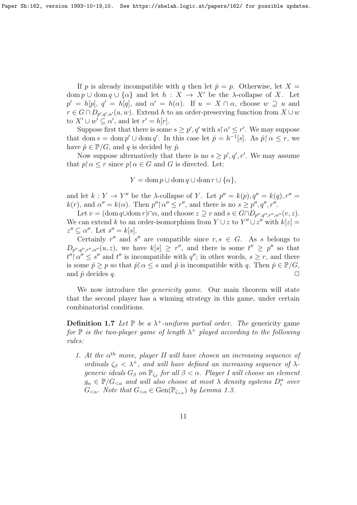If p is already incompatible with q then let  $\hat{p} = p$ . Otherwise, let  $X =$ dom  $p \cup$  dom  $q \cup \{\alpha\}$  and let  $h : X \to X'$  be the  $\lambda$ -collapse of X. Let  $p' = h[p], q' = h[q],$  and  $\alpha' = h(\alpha)$ . If  $u = X \cap \alpha$ , choose  $w \supseteq u$  and  $r \in G \cap D_{p',q',\alpha'}(u,w)$ . Extend h to an order-preserving function from  $X \cup w$ to  $X' \cup w' \subseteq \alpha'$ , and let  $r' = h[r]$ .

Suppose first that there is some  $s \geq p'$ , q' with  $s \upharpoonright \alpha' \leq r'$ . We may suppose that dom  $s = \text{dom } p' \cup \text{dom } q'$ . In this case let  $\hat{p} = h^{-1}[s]$ . As  $\hat{p} \restriction \alpha \leq r$ , we have  $\hat{p} \in \mathbb{P}/G$ , and q is decided by  $\hat{p}$ .

Now suppose alternatively that there is no  $s \geq p', q', r'$ . We may assume that  $p \nvert \alpha \leq r$  since  $p \nvert \alpha \in G$  and G is directed. Let:

 $Y = \text{dom } p \cup \text{dom } q \cup \text{dom } r \cup \{\alpha\},\$ 

and let  $k: Y \to Y''$  be the  $\lambda$ -collapse of Y. Let  $p'' = k(p), q'' = k(q), r'' =$  $k(r)$ , and  $\alpha'' = k(\alpha)$ . Then  $p'' \upharpoonright \alpha'' \leq r''$ , and there is no  $s \geq p''$ ,  $q''$ ,  $r''$ .

Let  $v = (\text{dom } q \cup \text{dom } r) \cap \alpha$ , and choose  $z \supseteq v$  and  $s \in G \cap D_{p'',q'',r'',\alpha''}(v, z)$ . We can extend k to an order-isomorphism from  $Y \cup z$  to  $Y'' \cup z''$  with  $k[z] =$  $z'' \subseteq \alpha''$ . Let  $s'' = k[s]$ .

Certainly  $r''$  and  $s''$  are compatible since  $r, s \in G$ . As s belongs to  $D_{p'',q'',r'',\alpha''}(u,z)$ , we have  $k[s] \geq r''$ , and there is some  $t'' \geq p''$  so that  $t'' \nvert \alpha'' \leq s''$  and  $t''$  is incompatible with  $q''$ ; in other words,  $s \geq r$ , and there is some  $\hat{p} \geq p$  so that  $\hat{p} \mid \alpha \leq s$  and  $\hat{p}$  is incompatible with q. Then  $\hat{p} \in \mathbb{P}/G$ , and  $\hat{p}$  decides q.  $\Box$ 

We now introduce the *genericity game*. Our main theorem will state that the second player has a winning strategy in this game, under certain combinatorial conditions.

**Definition 1.7** Let  $\mathbb{P}$  be a  $\lambda^+$ -uniform partial order. The genericity game for  $\mathbb P$  is the two-player game of length  $\lambda^+$  played according to the following rules:

1. At the  $\alpha^{th}$  move, player II will have chosen an increasing sequence of ordinals  $\zeta_{\beta} < \lambda^+$ , and will have defined an increasing sequence of  $\lambda$ generic ideals  $G_{\beta}$  on  $\mathbb{P}_{\zeta_{\beta}}$  for all  $\beta < \alpha$ . Player I will choose an element  $g_{\alpha} \in \mathbb{P}/G_{<\alpha}$  and will also choose at most  $\lambda$  density systems  $D_i^{\alpha}$  over  $G_{<\alpha}$ . Note that  $G_{<\alpha} \in \text{Gen}(\mathbb{P}_{\zeta_{<\alpha}})$  by Lemma 1.3.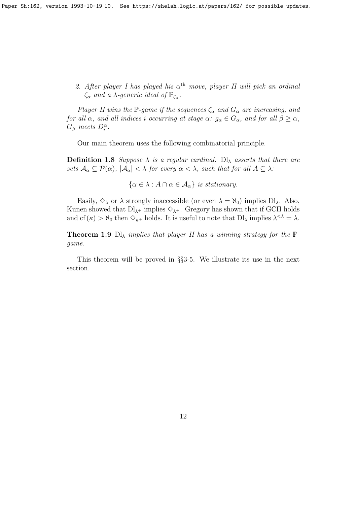2. After player I has played his  $\alpha^{\text{th}}$  move, player II will pick an ordinal  $\zeta_{\alpha}$  and a  $\lambda$ -generic ideal of  $\mathbb{P}_{\zeta_{\alpha}}$ .

Player II wins the P-game if the sequences  $\zeta_{\alpha}$  and  $G_{\alpha}$  are increasing, and for all  $\alpha$ , and all indices i occurring at stage  $\alpha: g_{\alpha} \in G_{\alpha}$ , and for all  $\beta \geq \alpha$ ,  $G_{\beta}$  meets  $D_i^{\alpha}$ .

Our main theorem uses the following combinatorial principle.

**Definition 1.8** Suppose  $\lambda$  is a regular cardinal. Dl<sub> $\lambda$ </sub> asserts that there are sets  $\mathcal{A}_{\alpha} \subseteq \mathcal{P}(\alpha)$ ,  $|\mathcal{A}_{\alpha}| < \lambda$  for every  $\alpha < \lambda$ , such that for all  $A \subseteq \lambda$ :

 $\{\alpha \in \lambda : A \cap \alpha \in \mathcal{A}_{\alpha}\}\$ is stationary.

Easily,  $\Diamond_{\lambda}$  or  $\lambda$  strongly inaccessible (or even  $\lambda = \aleph_0$ ) implies Dl<sub> $\lambda$ </sub>. Also, Kunen showed that  $Dl_{\lambda^+}$  implies  $\diamondsuit_{\lambda^+}$ . Gregory has shown that if GCH holds and cf ( $\kappa$ )  $> \aleph_0$  then  $\Diamond_{\kappa^+}$  holds. It is useful to note that  $\text{DI}_\lambda$  implies  $\lambda^{<\lambda} = \lambda$ .

**Theorem 1.9** Dl<sub> $\lambda$ </sub> implies that player II has a winning strategy for the  $\mathbb{P}$ game.

This theorem will be proved in §§3-5. We illustrate its use in the next section.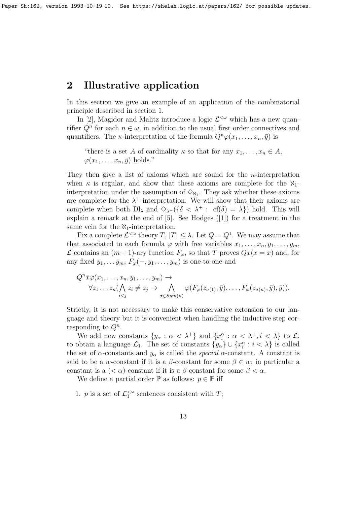# 2 Illustrative application

In this section we give an example of an application of the combinatorial principle described in section 1.

In [2], Magidor and Malitz introduce a logic  $\mathcal{L}^{\lt}\omega$  which has a new quantifier  $Q^n$  for each  $n \in \omega$ , in addition to the usual first order connectives and quantifiers. The *κ*-interpretation of the formula  $Q^n\varphi(x_1,\ldots,x_n,\bar{y})$  is

"there is a set A of cardinality  $\kappa$  so that for any  $x_1, \ldots, x_n \in A$ ,  $\varphi(x_1,\ldots,x_n,\bar{y})$  holds."

They then give a list of axioms which are sound for the  $\kappa$ -interpretation when  $\kappa$  is regular, and show that these axioms are complete for the  $\aleph_1$ interpretation under the assumption of  $\Diamond_{\aleph_1}$ . They ask whether these axioms are complete for the  $\lambda^+$ -interpretation. We will show that their axioms are complete when both  $\text{DI}_{\lambda}$  and  $\Diamond_{\lambda^+}(\{\delta \langle \lambda^+ : c f(\delta) = \lambda\})$  hold. This will explain a remark at the end of [5]. See Hodges ([1]) for a treatment in the same vein for the  $\aleph_1$ -interpretation.

Fix a complete  $\mathcal{L}^{<\omega}$  theory  $T, |T| \leq \lambda$ . Let  $Q = Q^1$ . We may assume that that associated to each formula  $\varphi$  with free variables  $x_1, \ldots, x_n, y_1, \ldots, y_m$ ,  $\mathcal L$  contains an  $(m+1)$ -ary function  $F$ <sub>φ</sub>, so that T proves  $Qx(x = x)$  and, for any fixed  $y_1, \ldots, y_m, F_{\varphi}(-, y_1, \ldots, y_m)$  is one-to-one and

$$
Q^n \bar{x} \varphi(x_1, \ldots, x_n, y_1, \ldots, y_m) \to
$$
  
\n
$$
\forall z_1 \ldots z_n (\bigwedge_{i < j} z_i \neq z_j \to \bigwedge_{\sigma \in Sym(n)} \varphi(F_\varphi(z_{\sigma(1)}, \bar{y}), \ldots, F_\varphi(z_{\sigma(n)}, \bar{y}), \bar{y})).
$$

Strictly, it is not necessary to make this conservative extension to our language and theory but it is convenient when handling the inductive step corresponding to  $Q^n$ .

We add new constants  $\{y_\alpha : \alpha < \lambda^+\}$  and  $\{x_i^\alpha : \alpha < \lambda^+, i < \lambda\}$  to  $\mathcal{L}$ , to obtain a language  $\mathcal{L}_1$ . The set of constants  $\{y_\alpha\} \cup \{x_i^\alpha : i < \lambda\}$  is called the set of  $\alpha$ -constants and  $y_{\alpha}$  is called the *special*  $\alpha$ -constant. A constant is said to be a w-constant if it is a  $\beta$ -constant for some  $\beta \in w$ ; in particular a constant is a  $( $\alpha$ )-constant if it is a  $\beta$ -constant for some  $\beta < \alpha$ .$ 

We define a partial order  $\mathbb P$  as follows:  $p \in \mathbb P$  iff

1. *p* is a set of  $\mathcal{L}_1^{\lt \omega}$  sentences consistent with *T*;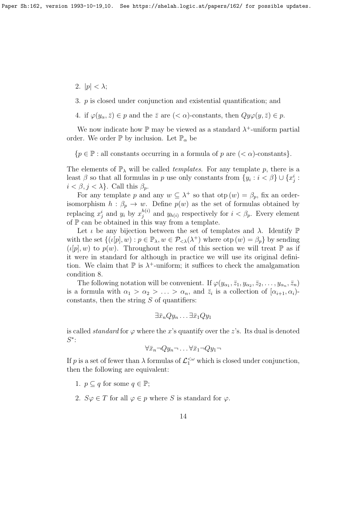- 2.  $|p| < \lambda$ ;
- 3. p is closed under conjunction and existential quantification; and
- 4. if  $\varphi(y_\alpha, \bar{z}) \in p$  and the  $\bar{z}$  are  $( $\alpha$ )-constants, then  $Qy\varphi(y, \bar{z}) \in p$ .$

We now indicate how  $\mathbb P$  may be viewed as a standard  $\lambda^+$ -uniform partial order. We order  $\mathbb P$  by inclusion. Let  $\mathbb P_\alpha$  be

 ${p \in \mathbb{P} : all constants occurring in a formula of p are ( $\alpha$ )-constants}.$ 

The elements of  $\mathbb{P}_{\lambda}$  will be called *templates*. For any template p, there is a least  $\beta$  so that all formulas in p use only constants from  $\{y_i : i < \beta\} \cup \{x_j^i : j \in I\}$  $i < \beta, j < \lambda$ . Call this  $\beta_n$ .

For any template p and any  $w \subseteq \lambda^+$  so that  $otp(w) = \beta_p$ , fix an orderisomorphism  $h : \beta_p \to w$ . Define  $p(w)$  as the set of formulas obtained by replacing  $x_j^i$  and  $y_i$  by  $x_j^{h(i)}$  and  $y_{h(i)}$  respectively for  $i < \beta_p$ . Every element of  $\mathbb P$  can be obtained in this way from a template.

Let  $\iota$  be any bijection between the set of templates and  $\lambda$ . Identify  $\mathbb P$ with the set  $\{(\iota[p], w) : p \in \mathbb{P}_{\lambda}, w \in \mathcal{P}_{\leq \lambda}(\lambda^+)$  where  $\text{otp}(w) = \beta_p\}$  by sending  $(\iota[p], w)$  to  $p(w)$ . Throughout the rest of this section we will treat  $\mathbb P$  as if it were in standard for although in practice we will use its original definition. We claim that  $\mathbb P$  is  $\lambda^+$ -uniform; it suffices to check the amalgamation condition 8.

The following notation will be convenient. If  $\varphi(y_{\alpha_1}, \bar{z}_1, y_{\alpha_2}, \bar{z}_2, \ldots, y_{\alpha_n}, \bar{z}_n)$ is a formula with  $\alpha_1 > \alpha_2 > \ldots > \alpha_n$ , and  $\bar{z}_i$  is a collection of  $[\alpha_{i+1}, \alpha_i]$ constants, then the string  $S$  of quantifiers:

$$
\exists \bar{x}_n Q y_n \dots \exists \bar{x}_1 Q y_1
$$

is called *standard* for  $\varphi$  where the x's quantify over the z's. Its dual is denoted S ∗ :

$$
\forall \bar{x}_n \neg Qy_n \neg \dots \forall \bar{x}_1 \neg Qy_1 \neg
$$

If p is a set of fewer than  $\lambda$  formulas of  $\mathcal{L}_1^{\ltq \omega}$  which is closed under conjunction, then the following are equivalent:

- 1.  $p \subset q$  for some  $q \in \mathbb{P}$ ;
- 2.  $S\varphi \in T$  for all  $\varphi \in p$  where S is standard for  $\varphi$ .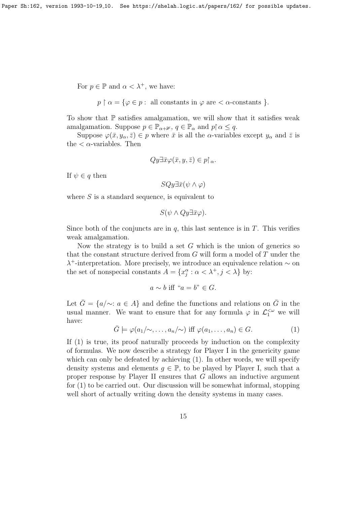For  $p \in \mathbb{P}$  and  $\alpha < \lambda^+$ , we have:

$$
p \upharpoonright \alpha = \{ \varphi \in p : \text{ all constants in } \varphi \text{ are } < \alpha\text{-constants } \}.
$$

To show that  $\mathbb P$  satisfies amalgamation, we will show that it satisfies weak amalgamation. Suppose  $p \in \mathbb{P}_{\alpha+\mathbb{1}}, q \in \mathbb{P}_{\alpha}$  and  $p \nvert \alpha \leq q$ .

Suppose  $\varphi(\bar{x}, y_\alpha, \bar{z}) \in p$  where  $\bar{x}$  is all the  $\alpha$ -variables except  $y_\alpha$  and  $\bar{z}$  is the  $\langle \alpha$ -variables. Then

$$
Qy\exists \bar{x}\varphi(\bar{x},y,\bar{z})\in p\upharpoonright_{\alpha}.
$$

If  $\psi \in q$  then

$$
SQy\exists \bar{x}(\psi \wedge \varphi)
$$

where  $S$  is a standard sequence, is equivalent to

$$
S(\psi \wedge Qy \exists \bar{x} \varphi).
$$

Since both of the conjuncts are in  $q$ , this last sentence is in  $T$ . This verifies weak amalgamation.

Now the strategy is to build a set  $G$  which is the union of generics so that the constant structure derived from G will form a model of T under the λ <sup>+</sup>-interpretation. More precisely, we introduce an equivalence relation ∼ on the set of nonspecial constants  $A = \{x_j^{\alpha} : \alpha < \lambda^+, j < \lambda\}$  by:

$$
a \sim b \text{ iff } "a = b" \in G.
$$

Let  $\bar{G} = \{a/\sim : a \in A\}$  and define the functions and relations on  $\bar{G}$  in the usual manner. We want to ensure that for any formula  $\varphi$  in  $\mathcal{L}_1^{\leq \omega}$  we will have:

$$
\bar{G} \models \varphi(a_1/\sim, \dots, a_n/\sim) \text{ iff } \varphi(a_1, \dots, a_n) \in G. \tag{1}
$$

If  $(1)$  is true, its proof naturally proceeds by induction on the complexity of formulas. We now describe a strategy for Player I in the genericity game which can only be defeated by achieving  $(1)$ . In other words, we will specify density systems and elements  $g \in \mathbb{P}$ , to be played by Player I, such that a proper response by Player II ensures that G allows an inductive argument for (1) to be carried out. Our discussion will be somewhat informal, stopping well short of actually writing down the density systems in many cases.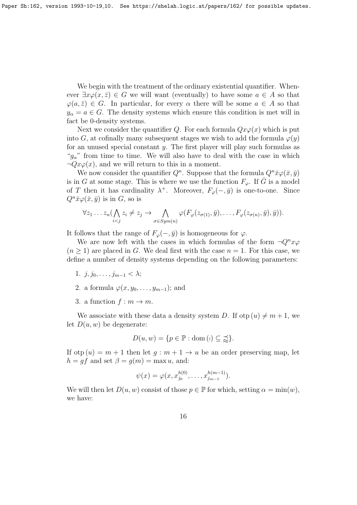We begin with the treatment of the ordinary existential quantifier. Whenever  $\exists x \varphi(x, \bar{z}) \in G$  we will want (eventually) to have some  $a \in A$  so that  $\varphi(a, \bar{z}) \in G$ . In particular, for every  $\alpha$  there will be some  $a \in A$  so that  $y_{\alpha} = a \in G$ . The density systems which ensure this condition is met will in fact be 0-density systems.

Next we consider the quantifier Q. For each formula  $Qx\varphi(x)$  which is put into G, at cofinally many subsequent stages we wish to add the formula  $\varphi(y)$ for an unused special constant  $y$ . The first player will play such formulas as " $q_{\alpha}$ " from time to time. We will also have to deal with the case in which  $\neg Qx\varphi(x)$ , and we will return to this in a moment.

We now consider the quantifier  $Q^n$ . Suppose that the formula  $Q^n \bar{x} \varphi(\bar{x}, \bar{y})$ is in G at some stage. This is where we use the function  $F_{\varphi}$ . If  $\bar{G}$  is a model of T then it has cardinality  $\lambda^+$ . Moreover,  $F_{\varphi}(-, \bar{y})$  is one-to-one. Since  $Q^n \bar{x} \varphi(\bar{x}, \bar{y})$  is in G, so is

$$
\forall z_1 \ldots z_n \big( \bigwedge_{i < j} z_i \neq z_j \rightarrow \bigwedge_{\sigma \in Sym(n)} \varphi(F_{\varphi}(z_{\sigma(1)}, \bar{y}), \ldots, F_{\varphi}(z_{\sigma(n)}, \bar{y}), \bar{y})\big).
$$

It follows that the range of  $F_{\varphi}(-, \bar{y})$  is homogeneous for  $\varphi$ .

We are now left with the cases in which formulas of the form  $\neg Q^n x \varphi$  $(n \geq 1)$  are placed in G. We deal first with the case  $n = 1$ . For this case, we define a number of density systems depending on the following parameters:

- 1.  $j, j_0, \ldots, j_{m-1} < \lambda$ ;
- 2. a formula  $\varphi(x, y_0, \ldots, y_{m-1})$ ; and
- 3. a function  $f : m \to m$ .

We associate with these data a density system D. If otp  $(u) \neq m + 1$ , we let  $D(u, w)$  be degenerate:

$$
D(u, w) = \{ p \in \mathbb{P} : \text{dom} \, (i) \subseteq \preceq \}.
$$

If otp  $(u) = m + 1$  then let  $q : m + 1 \rightarrow u$  be an order preserving map, let  $h = gf$  and set  $\beta = g(m) = \max u$ , and:

$$
\psi(x) = \varphi(x, x_{j_0}^{h(0)}, \dots, x_{j_{m-1}}^{h(m-1)}).
$$

We will then let  $D(u, w)$  consist of those  $p \in \mathbb{P}$  for which, setting  $\alpha = \min(w)$ , we have: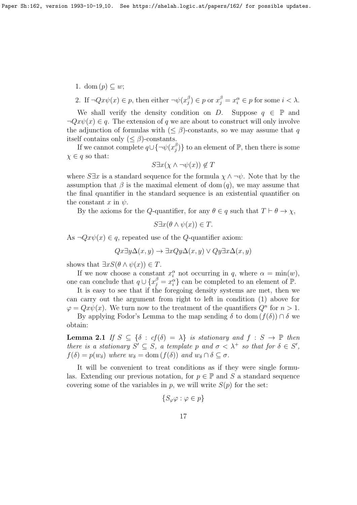- 1. dom  $(p) \subseteq w$ ;
- 2. If  $\neg Q x \psi(x) \in p$ , then either  $\neg \psi(x)$ <sup>6</sup>  $\binom{\beta}{j} \in p$  or  $x_j^{\beta} = x_i^{\alpha} \in p$  for some  $i < \lambda$ .

We shall verify the density condition on D. Suppose  $q \in \mathbb{P}$  and  $\neg Qx\psi(x) \in q$ . The extension of q we are about to construct will only involve the adjunction of formulas with  $( $\beta$ )-constants, so we may assume that q$ itself contains only  $(\leq \beta)$ -constants.

If we cannot complete  $q \cup {\{\neg \psi(x)}^{\beta}}$  $_{j}^{\beta})\}$  to an element of  $\mathbb{P},$  then there is some  $\chi \in q$  so that:

$$
S \exists x (\chi \land \neg \psi(x)) \notin T
$$

where  $S\exists x$  is a standard sequence for the formula  $\chi \wedge \neg \psi$ . Note that by the assumption that  $\beta$  is the maximal element of dom  $(q)$ , we may assume that the final quantifier in the standard sequence is an existential quantifier on the constant x in  $\psi$ .

By the axioms for the Q-quantifier, for any  $\theta \in q$  such that  $T \vdash \theta \to \chi$ ,

$$
S\exists x(\theta \wedge \psi(x)) \in T.
$$

As  $\neg Qx\psi(x) \in q$ , repeated use of the Q-quantifier axiom:

$$
Qx\exists y\Delta(x,y)\rightarrow \exists xQy\Delta(x,y)\vee Qy\exists x\Delta(x,y)
$$

shows that  $\exists x S(\theta \wedge \psi(x)) \in T$ .

If we now choose a constant  $x_i^{\alpha}$  not occurring in q, where  $\alpha = \min(w)$ , one can conclude that  $q \cup \{x_j^{\beta} = x_i^{\alpha}\}\)$  can be completed to an element of  $\mathbb{P}$ .

It is easy to see that if the foregoing density systems are met, then we can carry out the argument from right to left in condition (1) above for  $\varphi = Qx\psi(x)$ . We turn now to the treatment of the quantifiers  $Q^n$  for  $n > 1$ .

By applying Fodor's Lemma to the map sending  $\delta$  to dom  $(f(\delta)) \cap \delta$  we obtain:

**Lemma 2.1** If  $S \subseteq {\delta : cf(\delta) = \lambda}$  is stationary and  $f : S \to \mathbb{P}$  then there is a stationary  $S' \subseteq S$ , a template p and  $\sigma < \lambda^+$  so that for  $\delta \in S'$ ,  $f(\delta) = p(w_{\delta})$  where  $w_{\delta} = \text{dom}(f(\delta))$  and  $w_{\delta} \cap \delta \subseteq \sigma$ .

It will be convenient to treat conditions as if they were single formulas. Extending our previous notation, for  $p \in \mathbb{P}$  and S a standard sequence covering some of the variables in p, we will write  $S(p)$  for the set:

$$
\{S_{\varphi}\varphi : \varphi \in p\}
$$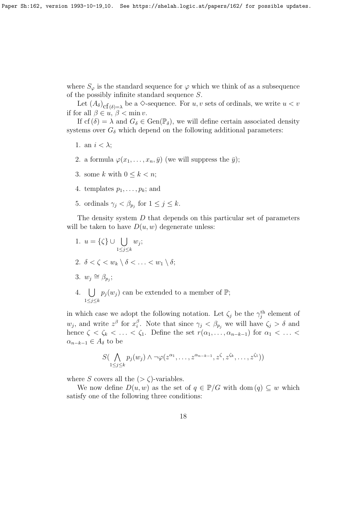where  $S_{\varphi}$  is the standard sequence for  $\varphi$  which we think of as a subsequence of the possibly infinite standard sequence S.

Let  $(A_\delta)_{\text{cf}(\delta)=\lambda}$  be a  $\diamond$ -sequence. For  $u, v$  sets of ordinals, we write  $u < v$ if for all  $\beta \in u, \beta < \min v$ .

If cf  $(\delta) = \lambda$  and  $G_{\delta} \in \text{Gen}(\mathbb{P}_{\delta})$ , we will define certain associated density systems over  $G_{\delta}$  which depend on the following additional parameters:

- 1. an  $i < \lambda$ ;
- 2. a formula  $\varphi(x_1,\ldots,x_n,\bar{y})$  (we will suppress the  $\bar{y}$ );
- 3. some k with  $0 \leq k \leq n$ :
- 4. templates  $p_1, \ldots, p_k$ ; and
- 5. ordinals  $\gamma_j < \beta_{p_j}$  for  $1 \leq j \leq k$ .

The density system D that depends on this particular set of parameters will be taken to have  $D(u, w)$  degenerate unless:

- 1.  $u = \{\zeta\} \cup \cup$  $1\leq j\leq k$  $w_j$ ; 2.  $\delta < \zeta < w_k \setminus \delta < \ldots < w_1 \setminus \delta;$ 3.  $w_j \cong \beta_{p_j};$
- 4. [  $1\leq j\leq k$  $p_j(w_j)$  can be extended to a member of  $\mathbb{P};$

in which case we adopt the following notation. Let  $\zeta_j$  be the  $\gamma_j^{\text{th}}$  element of  $w_j$ , and write  $z^{\beta}$  for  $x_i^{\beta}$ <sup>β</sup>. Note that since  $\gamma_j < \beta_{p_j}$  we will have  $\zeta_j > \delta$  and hence  $\zeta < \zeta_k < \ldots < \zeta_1$ . Define the set  $r(\alpha_1, \ldots, \alpha_{n-k-1})$  for  $\alpha_1 < \ldots <$  $\alpha_{n-k-1} \in A_{\delta}$  to be

$$
S(\bigwedge_{1\leq j\leq k}p_j(w_j)\wedge\neg\varphi(z^{\alpha_1},\ldots,z^{\alpha_{n-k-1}},z^{\zeta},z^{\zeta_k},\ldots,z^{\zeta_1}))
$$

where S covers all the  $(>\zeta)$ -variables.

We now define  $D(u, w)$  as the set of  $q \in \mathbb{P}/G$  with dom  $(q) \subseteq w$  which satisfy one of the following three conditions: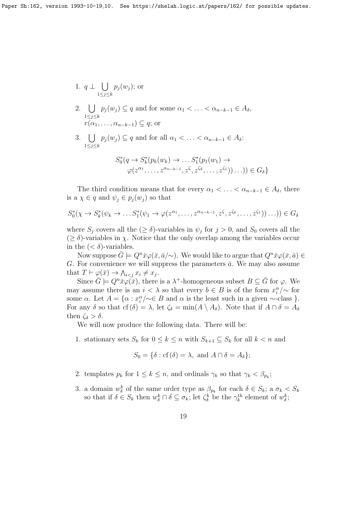Paper Sh:162, version 1993-10-19<sub>-10</sub>. See https://shelah.logic.at/papers/162/ for possible updates.

1. 
$$
q \perp \bigcup_{1 \leq j \leq k} p_j(w_j)
$$
; or

- 2. [  $1\leq j\leq k$  $p_j (w_j) \subseteq q$  and for some  $\alpha_1 < \ldots < \alpha_{n-k-1} \in A_\delta$ ,  $r(\alpha_1, \ldots, \alpha_{n-k-1}) \subseteq q$ ; or
- 3.  $\bigcup p_j(w_j) \subseteq q$  and for all  $\alpha_1 < \ldots < \alpha_{n-k-1} \in A_\delta$ :  $1\leq j\leq k$

$$
S_0^*(q \to S_k^*(p_k(w_k) \to \dots S_1^*(p_1(w_1) \to
$$
  

$$
\varphi(z^{\alpha_1}, \dots, z^{\alpha_{n-k-1}}, z^{\zeta}, z^{\zeta_k}, \dots, z^{\zeta_1})) \dots)) \in G_\delta\}
$$

The third condition means that for every  $\alpha_1 < \ldots < \alpha_{n-k-1} \in A_\delta$ , there is a  $\chi \in q$  and  $\psi_i \in p_i(w_i)$  so that

$$
S_0^*(\chi \to S_k^*(\psi_k \to \dots S_1^*(\psi_1 \to \varphi(z^{\alpha_1}, \dots, z^{\alpha_{n-k-1}}, z^{\zeta}, z^{\zeta_k}, \dots, z^{\zeta_1}))\dots)) \in G_{\delta}
$$

where  $S_j$  covers all the  $(\geq \delta)$ -variables in  $\psi_j$  for  $j > 0$ , and  $S_0$  covers all the  $(\geq \delta)$ -variables in  $\chi$ . Notice that the only overlap among the variables occur in the  $( $\delta$ )-variables.$ 

Now suppose  $\bar{G} \models Q^n \bar{x} \varphi(\bar{x}, \bar{a}/\sim)$ . We would like to argue that  $Q^n \bar{x} \varphi(\bar{x}, \bar{a}) \in$ G. For convenience we will suppress the parameters  $\bar{a}$ . We may also assume that  $T \vdash \varphi(\bar{x}) \rightarrow \bigwedge_{i < j} x_i \neq x_j$ .

Since  $\bar{G} \models Q^n \bar{x} \varphi(\bar{x})$ , there is a  $\lambda^+$ -homogeneous subset  $B \subseteq \bar{G}$  for  $\varphi$ . We may assume there is an  $i < \lambda$  so that every  $b \in B$  is of the form  $x_i^{\alpha}/\sim$  for some  $\alpha$ . Let  $A = {\alpha : x_i^{\alpha}}/\sim \in B$  and  $\alpha$  is the least such in a given  $\sim$ -class }. For any  $\delta$  so that cf  $(\delta) = \lambda$ , let  $\zeta_{\delta} = \min(A \setminus A_{\delta})$ . Note that if  $A \cap \delta = A_{\delta}$ then  $\zeta_{\delta} > \delta$ .

We will now produce the following data. There will be:

1. stationary sets  $S_k$  for  $0 \leq k \leq n$  with  $S_{k+1} \subseteq S_k$  for all  $k < n$  and

$$
S_0 = \{ \delta : \text{cf}(\delta) = \lambda, \text{ and } A \cap \delta = A_\delta \};
$$

- 2. templates  $p_k$  for  $1 \leq k \leq n$ , and ordinals  $\gamma_k$  so that  $\gamma_k < \beta_{p_k}$ ;
- 3. a domain  $w_{\delta}^{k}$  of the same order type as  $\beta_{p_k}$  for each  $\delta \in S_k$ ; a  $\sigma_k < S_k$ so that if  $\delta \in S_k$  then  $w_{\delta}^k \cap \delta \subseteq \sigma_k$ ; let  $\zeta_{\delta}^k$  be the  $\gamma_k^{\text{th}}$  element of  $w_{\delta}^k$ ;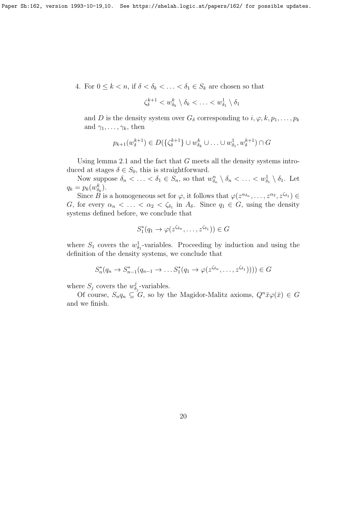4. For  $0 \leq k < n$ , if  $\delta < \delta_k < \ldots < \delta_1 \in S_k$  are chosen so that

$$
\zeta_{\delta}^{k+1} < w_{\delta_k}^k \setminus \delta_k < \ldots < w_{\delta_1}^1 \setminus \delta_1
$$

and D is the density system over  $G_{\delta}$  corresponding to  $i, \varphi, k, p_1, \ldots, p_k$ and  $\gamma_1, \ldots, \gamma_k$ , then

$$
p_{k+1}(w_{\delta}^{k+1}) \in D(\{\zeta_{\delta}^{k+1}\} \cup w_{\delta_k}^k \cup \ldots \cup w_{\delta_1}^1, w_{\delta}^{k+1}) \cap G
$$

Using lemma 2.1 and the fact that  $G$  meets all the density systems introduced at stages  $\delta \in S_0$ , this is straightforward.

Now suppose  $\delta_n < \ldots < \delta_1 \in S_n$ , so that  $w_{\delta_n}^n \setminus \delta_n < \ldots < w_{\delta_1}^1 \setminus \delta_1$ . Let  $q_k = p_k(w_{\delta_k}^k)$ .

Since  $\hat{B}$  is a homogeneous set for  $\varphi$ , it follows that  $\varphi(z^{\alpha_{\delta_n}}, \ldots, z^{\alpha_2}, z^{\zeta_{\delta_1}}) \in$ G, for every  $\alpha_n < \ldots < \alpha_2 < \zeta_{\delta_1}$  in  $A_{\delta}$ . Since  $q_1 \in G$ , using the density systems defined before, we conclude that

$$
S_1^*(q_1 \to \varphi(z^{\zeta_{\delta_n}}, \dots, z^{\zeta_{\delta_1}})) \in G
$$

where  $S_1$  covers the  $w_{\delta_1}^1$ -variables. Proceeding by induction and using the definition of the density systems, we conclude that

$$
S_n^*(q_n \to S_{n-1}^*(q_{n-1} \to \dots S_1^*(q_1 \to \varphi(z^{\zeta_{\delta_n}}, \dots, z^{\zeta_{\delta_1}})))) \in G
$$

where  $S_j$  covers the  $w_{\delta}^j$  $\delta_j$ -variables.

Of course,  $S_n q_n \subseteq G$ , so by the Magidor-Malitz axioms,  $Q^n \bar{x} \varphi(\bar{x}) \in G$ and we finish.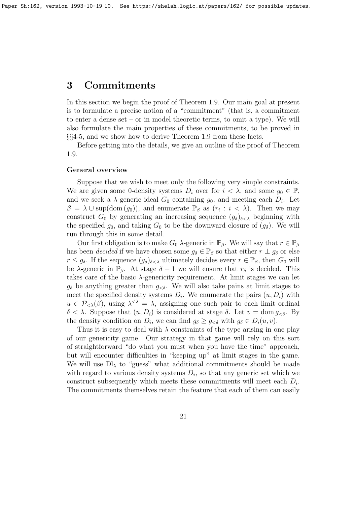# 3 Commitments

In this section we begin the proof of Theorem 1.9. Our main goal at present is to formulate a precise notion of a "commitment" (that is, a commitment to enter a dense set – or in model theoretic terms, to omit a type). We will also formulate the main properties of these commitments, to be proved in §§4-5, and we show how to derive Theorem 1.9 from these facts.

Before getting into the details, we give an outline of the proof of Theorem 1.9.

### General overview

Suppose that we wish to meet only the following very simple constraints. We are given some 0-density systems  $D_i$  over for  $i < \lambda$ , and some  $g_0 \in \mathbb{P}$ , and we seek a  $\lambda$ -generic ideal  $G_0$  containing  $g_0$ , and meeting each  $D_i$ . Let  $\beta = \lambda \cup \text{sup}(\text{dom}(g_0)),$  and enumerate  $\mathbb{P}_{\beta}$  as  $(r_i : i < \lambda)$ . Then we may construct  $G_0$  by generating an increasing sequence  $(g_\delta)_{\delta<\lambda}$  beginning with the specified  $g_0$ , and taking  $G_0$  to be the downward closure of  $(g_\delta)$ . We will run through this in some detail.

Our first obligation is to make  $G_0$   $\lambda$ -generic in  $\mathbb{P}_{\beta}$ . We will say that  $r \in \mathbb{P}_{\beta}$ has been *decided* if we have chosen some  $g_{\delta} \in \mathbb{P}_{\beta}$  so that either  $r \perp g_{\delta}$  or else  $r \leq g_\delta$ . If the sequence  $(g_\delta)_{\delta < \lambda}$  ultimately decides every  $r \in \mathbb{P}_\beta$ , then  $G_0$  will be  $\lambda$ -generic in  $\mathbb{P}_{\beta}$ . At stage  $\delta + 1$  we will ensure that  $r_{\delta}$  is decided. This takes care of the basic  $\lambda$ -genericity requirement. At limit stages we can let  $g_{\delta}$  be anything greater than  $g_{\leq \delta}$ . We will also take pains at limit stages to meet the specified density systems  $D_i$ . We enumerate the pairs  $(u, D_i)$  with  $u \in \mathcal{P}_{\leq \lambda}(\beta)$ , using  $\lambda^{\leq \lambda} = \lambda$ , assigning one such pair to each limit ordinal  $\delta < \lambda$ . Suppose that  $(u, D_i)$  is considered at stage  $\delta$ . Let  $v = \text{dom } g_{\leq \delta}$ . By the density condition on  $D_i$ , we can find  $g_\delta \geq g_{\leq \delta}$  with  $g_\delta \in D_i(u, v)$ .

Thus it is easy to deal with  $\lambda$  constraints of the type arising in one play of our genericity game. Our strategy in that game will rely on this sort of straightforward "do what you must when you have the time" approach, but will encounter difficulties in "keeping up" at limit stages in the game. We will use  $D\mathbf{I}_{\lambda}$  to "guess" what additional commitments should be made with regard to various density systems  $D_i$ , so that any generic set which we construct subsequently which meets these commitments will meet each  $D_i$ . The commitments themselves retain the feature that each of them can easily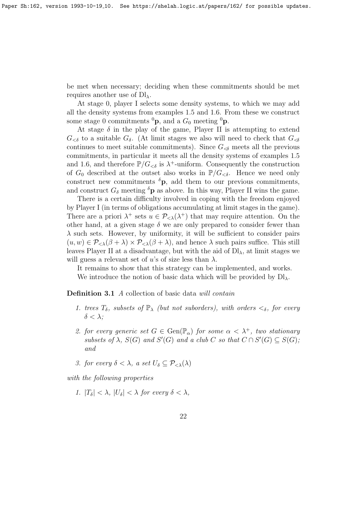be met when necessary; deciding when these commitments should be met requires another use of  $\mathrm{Dl}_{\lambda}$ .

At stage 0, player I selects some density systems, to which we may add all the density systems from examples 1.5 and 1.6. From these we construct some stage 0 commitments  ${}^{0}\mathbf{p}$ , and a  $G_0$  meeting  ${}^{0}\mathbf{p}$ .

At stage  $\delta$  in the play of the game, Player II is attempting to extend  $G_{< \delta}$  to a suitable  $G_{\delta}$ . (At limit stages we also will need to check that  $G_{< \delta}$ continues to meet suitable commitments). Since  $G_{\leq \delta}$  meets all the previous commitments, in particular it meets all the density systems of examples 1.5 and 1.6, and therefore  $\mathbb{P}/G_{\leq \delta}$  is  $\lambda^+$ -uniform. Consequently the construction of  $G_0$  described at the outset also works in  $\mathbb{P}/G_{\leq \delta}$ . Hence we need only construct new commitments  ${}^{\delta}$ p, add them to our previous commitments, and construct  $G_{\delta}$  meeting  $\delta$ **p** as above. In this way, Player II wins the game.

There is a certain difficulty involved in coping with the freedom enjoyed by Player I (in terms of obligations accumulating at limit stages in the game). There are a priori  $\lambda^+$  sets  $u \in \mathcal{P}_{\leq \lambda}(\lambda^+)$  that may require attention. On the other hand, at a given stage  $\delta$  we are only prepared to consider fewer than  $\lambda$  such sets. However, by uniformity, it will be sufficient to consider pairs  $(u, w) \in \mathcal{P}_{\leq \lambda}(\beta + \lambda) \times \mathcal{P}_{\leq \lambda}(\beta + \lambda)$ , and hence  $\lambda$  such pairs suffice. This still leaves Player II at a disadvantage, but with the aid of  $\text{DI}_\lambda$ , at limit stages we will guess a relevant set of u's of size less than  $\lambda$ .

It remains to show that this strategy can be implemented, and works. We introduce the notion of basic data which will be provided by  $Dl_{\lambda}$ .

**Definition 3.1** A collection of basic data will contain

- 1. trees  $T_{\delta}$ , subsets of  $\mathbb{P}_{\lambda}$  (but not suborders), with orders  $\lt_{\delta}$ , for every  $\delta < \lambda$ :
- 2. for every generic set  $G \in \text{Gen}(\mathbb{P}_\alpha)$  for some  $\alpha < \lambda^+$ , two stationary subsets of  $\lambda$ ,  $S(G)$  and  $S'(G)$  and a club C so that  $C \cap S'(G) \subseteq S(G)$ ; and
- 3. for every  $\delta < \lambda$ , a set  $U_{\delta} \subset \mathcal{P}_{\leq \lambda}(\lambda)$

with the following properties

1.  $|T_{\delta}| < \lambda$ ,  $|U_{\delta}| < \lambda$  for every  $\delta < \lambda$ ,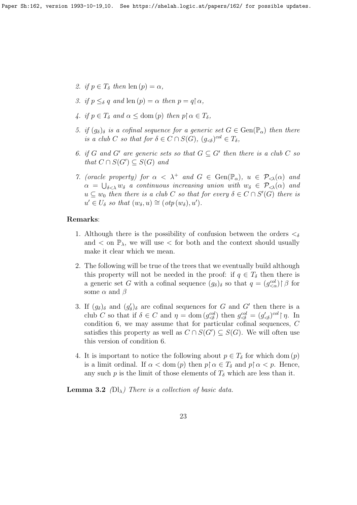- 2. if  $p \in T_\delta$  then  $\text{len}(p) = \alpha$ ,
- 3. if  $p \leq_{\delta} q$  and len  $(p) = \alpha$  then  $p = q \upharpoonright \alpha$ ,
- 4. if  $p \in T_\delta$  and  $\alpha \leq$  dom (p) then  $p \nvert \alpha \in T_\delta$ ,
- 5. if  $(g_{\delta})_{\delta}$  is a cofinal sequence for a generic set  $G \in \text{Gen}(\mathbb{P}_{\alpha})$  then there is a club C so that for  $\delta \in C \cap S(G)$ ,  $(g_{\leq \delta})^{col} \in T_{\delta}$ ,
- 6. if G and G' are generic sets so that  $G \subseteq G'$  then there is a club C so that  $C \cap S(G') \subseteq S(G)$  and
- 7. (oracle property) for  $\alpha < \lambda^+$  and  $G \in \text{Gen}(\mathbb{P}_\alpha)$ ,  $u \in \mathcal{P}_{\leq \lambda}(\alpha)$  and  $\alpha = \bigcup_{\delta < \lambda} w_{\delta}$  a continuous increasing union with  $w_{\delta} \in \mathcal{P}_{\leq \lambda}(\alpha)$  and  $u \subseteq w_0$  then there is a club C so that for every  $\delta \in C \cap S'(G)$  there is  $u' \in U_{\delta}$  so that  $(w_{\delta}, u) \cong (otp(w_{\delta}), u').$

# Remarks:

- 1. Although there is the possibility of confusion between the orders  $\lt_{\delta}$ and  $\langle$  on  $\mathbb{P}_{\lambda}$ , we will use  $\langle$  for both and the context should usually make it clear which we mean.
- 2. The following will be true of the trees that we eventually build although this property will not be needed in the proof: if  $q \in T_\delta$  then there is a generic set G with a cofinal sequence  $(g_{\delta})_{\delta}$  so that  $q = (g_{\leq \alpha}^{col})\upharpoonright \beta$  for some  $\alpha$  and  $\beta$
- 3. If  $(g_{\delta})_{\delta}$  and  $(g'_{\delta})_{\delta}$  are cofinal sequences for G and G' then there is a club C so that if  $\delta \in C$  and  $\eta = \text{dom}(g^{col}_{\leq \delta})$  then  $g^{col}_{\leq \delta} = (g'_{\leq \delta})^{col} {\upharpoonright} \eta$ . In condition 6, we may assume that for particular cofinal sequences, C satisfies this property as well as  $C \cap S(G') \subseteq S(G)$ . We will often use this version of condition 6.
- 4. It is important to notice the following about  $p \in T_\delta$  for which dom  $(p)$ is a limit ordinal. If  $\alpha <$  dom  $(p)$  then  $p \nvert \alpha \in T_\delta$  and  $p \nvert \alpha < p$ . Hence, any such p is the limit of those elements of  $T_{\delta}$  which are less than it.

**Lemma 3.2** ( $\text{Dl}_\lambda$ ) There is a collection of basic data.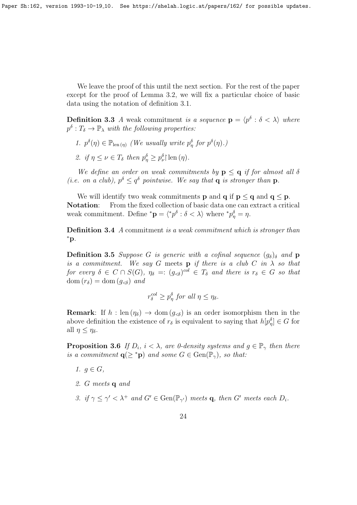We leave the proof of this until the next section. For the rest of the paper except for the proof of Lemma 3.2, we will fix a particular choice of basic data using the notation of definition 3.1.

**Definition 3.3** A weak commitment is a sequence  $\mathbf{p} = \langle p^{\delta} : \delta \langle \lambda \rangle$  where  $p^{\delta}: T_{\delta} \to \mathbb{P}_{\lambda}$  with the following properties:

- 1.  $p^{\delta}(\eta) \in \mathbb{P}_{\text{len}(\eta)}$  (We usually write  $p^{\delta}_{\eta}$  for  $p^{\delta}(\eta)$ .)
- 2. if  $\eta \leq \nu \in T_{\delta}$  then  $p_{\eta}^{\delta} \geq p_{\nu}^{\delta}$  len  $(\eta)$ .

We define an order on weak commitments by  $p \le q$  if for almost all  $\delta$ (*i.e.* on a club),  $p^{\delta} \leq q^{\delta}$  pointwise. We say that **q** is stronger than **p**.

We will identify two weak commitments **p** and **q** if  $p \le q$  and  $q \le p$ . Notation: From the fixed collection of basic data one can extract a critical weak commitment. Define \* $\mathbf{p} = \langle {}^*p^{\delta} : \delta \langle \lambda \rangle$  where \* $p_{\eta}^{\delta} = \eta$ .

Definition 3.4 A commitment is a weak commitment which is stronger than <sup>∗</sup>p.

**Definition 3.5** Suppose G is generic with a cofinal sequence  $(g_{\delta})_{\delta}$  and **p** is a commitment. We say G meets **p** if there is a club C in  $\lambda$  so that for every  $\delta \in C \cap S(G)$ ,  $\eta_{\delta} =: (g_{\leq \delta})^{col} \in T_{\delta}$  and there is  $r_{\delta} \in G$  so that dom  $(r_\delta) =$ dom  $(g_{\leq \delta})$  and

$$
r_{\delta}^{col} \ge p_{\eta}^{\delta} \text{ for all } \eta \le \eta_{\delta}.
$$

**Remark:** If  $h : \text{len}(\eta_{\delta}) \to \text{dom}(g_{\leq \delta})$  is an order isomorphism then in the above definition the existence of  $r_{\delta}$  is equivalent to saying that  $h[p_{\eta}^{\delta}] \in G$  for all  $\eta \leq \eta_{\delta}$ .

**Proposition 3.6** If  $D_i$ ,  $i < \lambda$ , are 0-density systems and  $g \in \mathbb{P}_{\gamma}$  then there is a commitment  $q(\geq^*p)$  and some  $G \in \text{Gen}(\mathbb{P}_{\gamma})$ , so that:

- 1.  $g \in G$ ,
- 2. G meets q and
- 3. if  $\gamma \leq \gamma' < \lambda^+$  and  $G' \in \text{Gen}(\mathbb{P}_{\gamma'})$  meets q, then  $G'$  meets each  $D_i$ .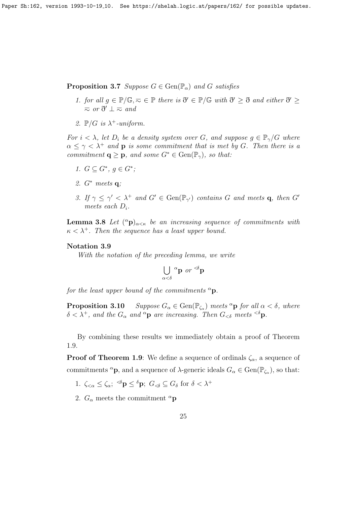Paper Sh:162, version 1993-10-19<sub>-10</sub>. See https://shelah.logic.at/papers/162/ for possible updates.

**Proposition 3.7** Suppose  $G \in \text{Gen}(\mathbb{P}_{\alpha})$  and G satisfies

- 1. for all  $g \in \mathbb{P}/\mathbb{G}, \bar{\infty} \in \mathbb{P}$  there is  $\eth' \in \mathbb{P}/\mathbb{G}$  with  $\eth' \geq \eth$  and either  $\eth' \geq \eth$  $\overline{\sim}$  or  $\eth' \perp \overline{\sim}$  and
- 2.  $\mathbb{P}/G$  is  $\lambda^+$ -uniform.

For  $i < \lambda$ , let  $D_i$  be a density system over G, and suppose  $g \in \mathbb{P}_\gamma/G$  where  $\alpha \leq \gamma < \lambda^+$  and **p** is some commitment that is met by G. Then there is a commitment  $\mathbf{q} \geq \mathbf{p}$ , and some  $G^* \in \text{Gen}(\mathbb{P}_{\gamma})$ , so that:

- 1.  $G \subseteq G^*, g \in G^*$ ;
- 2. G<sup>∗</sup> meets q;
- 3. If  $\gamma \leq \gamma' < \lambda^+$  and  $G' \in \text{Gen}(\mathbb{P}_{\gamma'})$  contains G and meets **q**, then G' meets each  $D_i$ .

**Lemma 3.8** Let  $({}^{\alpha}p)_{\alpha<\kappa}$  be an increasing sequence of commitments with  $\kappa < \lambda^+$ . Then the sequence has a least upper bound.

# Notation 3.9

With the notation of the preceding lemma, we write

$$
\bigcup_{\alpha < \delta} \alpha \mathbf{p} \text{ or } \alpha \in \mathbf{p}
$$

for the least upper bound of the commitments  ${}^{\alpha}$ p.

**Proposition 3.10** Suppose  $G_{\alpha} \in \text{Gen}(\mathbb{P}_{\zeta_{\alpha}})$  meets  ${}^{\alpha}$ **p** for all  $\alpha < \delta$ , where  $\delta < \lambda^+$ , and the  $G_{\alpha}$  and  ${}^{\alpha}$ p are increasing. Then  $G_{<\delta}$  meets  ${}^{<\delta}$ p.

By combining these results we immediately obtain a proof of Theorem 1.9.

**Proof of Theorem 1.9:** We define a sequence of ordinals  $\zeta_{\alpha}$ , a sequence of commitments <sup> $\alpha$ </sup>**p**, and a sequence of  $\lambda$ -generic ideals  $G_{\alpha} \in \text{Gen}(\mathbb{P}_{\zeta_{\alpha}})$ , so that:

- 1.  $\zeta_{<\alpha} \leq \zeta_{\alpha}$ ;  $\delta \mathbf{p} \leq \delta \mathbf{p}$ ;  $G_{<\delta} \subseteq G_{\delta}$  for  $\delta < \lambda^+$
- 2.  $G_{\alpha}$  meets the commitment  $^{\alpha}$ **p**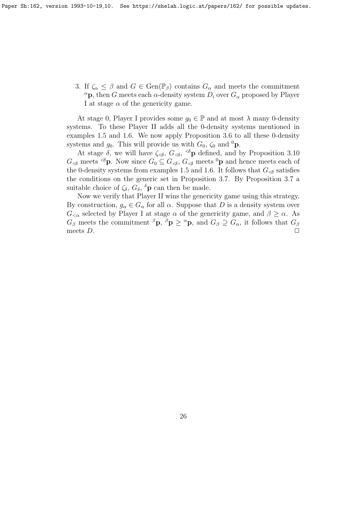3. If  $\zeta_\alpha \leq \beta$  and  $G \in \text{Gen}(\mathbb{P}_{\beta})$  contains  $G_\alpha$  and meets the commitment  $\alpha$ p, then G meets each  $\alpha$ -density system  $D_i$  over  $G_{\alpha}$  proposed by Player I at stage  $\alpha$  of the genericity game.

At stage 0, Player I provides some  $g_0 \in \mathbb{P}$  and at most  $\lambda$  many 0-density systems. To these Player II adds all the 0-density systems mentioned in examples 1.5 and 1.6. We now apply Proposition 3.6 to all these 0-density systems and  $g_0$ . This will provide us with  $G_0$ ,  $\zeta_0$  and <sup>0</sup>p.

At stage  $\delta$ , we will have  $\zeta_{\leq \delta}$ ,  $G_{\leq \delta}$ ,  $\leq$  p defined, and by Proposition 3.10  $G_{\leq \delta}$  meets  $\leq \delta$ **p**. Now since  $G_0 \subseteq G_{\leq \delta}$ ,  $G_{\leq \delta}$  meets <sup>0</sup>**p** and hence meets each of the 0-density systems from examples 1.5 and 1.6. It follows that  $G_{\leq \delta}$  satisfies the conditions on the generic set in Proposition 3.7. By Proposition 3.7 a suitable choice of  $\zeta_{\delta}$ ,  $G_{\delta}$ ,  $^{\delta}$ **p** can then be made.

Now we verify that Player II wins the genericity game using this strategy. By construction,  $g_{\alpha} \in G_{\alpha}$  for all  $\alpha$ . Suppose that D is a density system over  $G_{\leq \alpha}$  selected by Player I at stage  $\alpha$  of the genericity game, and  $\beta \geq \alpha$ . As  $G_{\beta}$  meets the commitment  ${}^{\beta}P$ ,  ${}^{\beta}P \geq {}^{\alpha}P$ , and  $G_{\beta} \supseteq G_{\alpha}$ , it follows that  $G_{\beta}$ meets  $D.$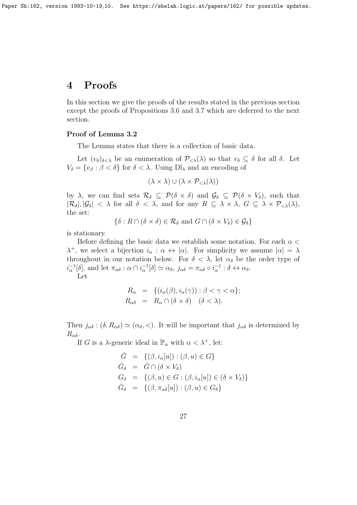# 4 Proofs

In this section we give the proofs of the results stated in the previous section except the proofs of Propositions 3.6 and 3.7 which are deferred to the next section.

# Proof of Lemma 3.2

The Lemma states that there is a collection of basic data.

Let  $(v_{\delta})_{\delta < \lambda}$  be an enumeration of  $\mathcal{P}_{\leq \lambda}(\lambda)$  so that  $v_{\delta} \subseteq \delta$  for all  $\delta$ . Let  $V_{\delta} = \{v_{\beta} : \beta < \delta\}$  for  $\delta < \lambda$ . Using Dl<sub> $\lambda$ </sub> and an encoding of

$$
(\lambda \times \lambda) \cup (\lambda \times \mathcal{P}_{\leq \lambda}(\lambda))
$$

by  $\lambda$ , we can find sets  $\mathcal{R}_{\delta} \subseteq \mathcal{P}(\delta \times \delta)$  and  $\mathcal{G}_{\delta} \subseteq \mathcal{P}(\delta \times V_{\delta})$ , such that  $|\mathcal{R}_{\delta}|, |\mathcal{G}_{\delta}| < \lambda$  for all  $\delta < \lambda$ , and for any  $R \subseteq \lambda \times \lambda$ ,  $G \subseteq \lambda \times \mathcal{P}_{\leq \lambda}(\lambda)$ , the set:

$$
\{\delta : R \cap (\delta \times \delta) \in \mathcal{R}_{\delta} \text{ and } G \cap (\delta \times V_{\delta}) \in \mathcal{G}_{\delta}\}\
$$

is stationary.

Before defining the basic data we establish some notation. For each  $\alpha$  <  $\lambda^+$ , we select a bijection  $i_\alpha : \alpha \leftrightarrow |\alpha|$ . For simplicity we assume  $|\alpha| = \lambda$ throughout in our notation below. For  $\delta < \lambda$ , let  $\alpha_{\delta}$  be the order type of  $i_{\alpha}^{-1}[\delta],$  and let  $\pi_{\alpha\delta} : \alpha \cap i_{\alpha}^{-1}[\delta] \simeq \alpha_{\delta}, \, j_{\alpha\delta} = \pi_{\alpha\delta} \circ i_{\alpha}^{-1} : \delta \leftrightarrow \alpha_{\delta}.$ 

Let

$$
R_{\alpha} = \{ (i_{\alpha}(\beta), i_{\alpha}(\gamma)) : \beta < \gamma < \alpha \};
$$
  

$$
R_{\alpha\delta} = R_{\alpha} \cap (\delta \times \delta) \quad (\delta < \lambda).
$$

Then  $j_{\alpha\delta}$  :  $(\delta, R_{\alpha\delta}) \simeq (\alpha_{\delta}, <)$ . It will be important that  $j_{\alpha\delta}$  is determined by  $R_{\alpha\delta}$ .

If G is a  $\lambda$ -generic ideal in  $\mathbb{P}_{\alpha}$  with  $\alpha < \lambda^{+}$ , let:

$$
\hat{G} = \{ (\beta, i_{\alpha}[u]) : (\beta, u) \in G \}
$$
  
\n
$$
\hat{G}_{\delta} = \hat{G} \cap (\delta \times V_{\delta})
$$
  
\n
$$
G_{\delta} = \{ (\beta, u) \in G : (\beta, i_{\alpha}[u]) \in (\delta \times V_{\delta}) \}
$$
  
\n
$$
\bar{G}_{\delta} = \{ (\beta, \pi_{\alpha\delta}[u]) : (\beta, u) \in G_{\delta} \}
$$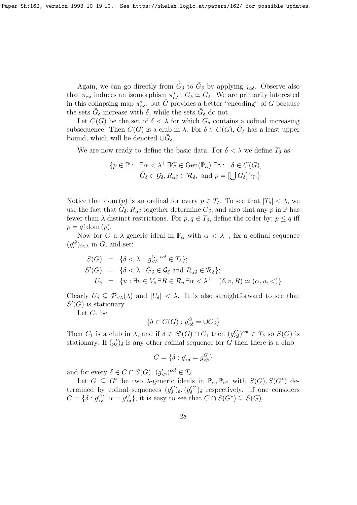Again, we can go directly from  $\hat{G}_{\delta}$  to  $\bar{G}_{\delta}$  by applying  $j_{\alpha\delta}$ . Observe also that  $\pi_{\alpha\delta}$  induces an isomorphism  $\pi_{\alpha\delta}^*$  :  $G_{\delta} \simeq \bar{G}_{\delta}$ . We are primarily interested in this collapsing map  $\pi_{\alpha\delta}^*$ , but  $\hat{G}$  provides a better "encoding" of G because the sets  $\hat{G}_{\delta}$  increase with  $\delta$ , while the sets  $\bar{G}_{\delta}$  do not.

Let  $C(G)$  be the set of  $\delta < \lambda$  for which  $G_{\delta}$  contains a cofinal increasing subsequence. Then  $C(G)$  is a club in  $\lambda$ . For  $\delta \in C(G)$ ,  $\overline{G}_{\delta}$  has a least upper bound, which will be denoted  $\cup \overline{G}_\delta$ .

We are now ready to define the basic data. For  $\delta < \lambda$  we define  $T_{\delta}$  as:

$$
\{p \in \mathbb{P}: \ \exists \alpha < \lambda^+ \, \exists G \in \text{Gen}(\mathbb{P}_{\alpha}) \, \exists \gamma: \ \delta \in C(G), \\ \hat{G}_{\delta} \in \mathcal{G}_{\delta}, R_{\alpha\delta} \in \mathcal{R}_{\delta}, \text{ and } p = [\bigcup \bar{G}_{\delta}] \, \gamma.\}
$$

Notice that dom (p) is an ordinal for every  $p \in T_\delta$ . To see that  $|T_\delta| < \lambda$ , we use the fact that  $\tilde{G}_\delta$ ,  $R_{\alpha\delta}$  together determine  $\bar{G}_\delta$ , and also that any p in  $\mathbb P$  has fewer than  $\lambda$  distinct restrictions. For  $p, q \in T_{\delta}$ , define the order by;  $p \leq q$  iff  $p = q \restriction \text{dom}(p).$ 

Now for G a  $\lambda$ -generic ideal in  $\mathbb{P}_{\alpha}$  with  $\alpha < \lambda^{+}$ , fix a cofinal sequence  $(g_i^G)_{i < \lambda}$  in G, and set:

$$
S(G) = \{ \delta < \lambda : [g_{< \delta}^{G}]^{col} \in T_{\delta} \};
$$
\n
$$
S'(G) = \{ \delta < \lambda : \hat{G}_{\delta} \in \mathcal{G}_{\delta} \text{ and } R_{\alpha\delta} \in \mathcal{R}_{\delta} \};
$$
\n
$$
U_{\delta} = \{ u : \exists v \in V_{\delta} \, \exists R \in \mathcal{R}_{\delta} \, \exists \alpha < \lambda^{+} \quad (\delta, v, R) \simeq (\alpha, u, \leq) \}
$$

Clearly  $U_{\delta} \subseteq \mathcal{P}_{\leq \lambda}(\lambda)$  and  $|U_{\delta}| < \lambda$ . It is also straightforward to see that  $S'(G)$  is stationary.

Let  $C_1$  be

$$
\{\delta \in C(G) : g^G_{\prec \delta} = \cup G_{\delta}\}
$$

Then  $C_1$  is a club in  $\lambda$ , and if  $\delta \in S'(G) \cap C_1$  then  $(g_{\delta}^G)^{col} \in T_{\delta}$  so  $S(G)$  is stationary. If  $(g'_\delta)_{\delta}$  is any other cofinal sequence for G then there is a club

$$
C = \{\delta : g'_{\lessdot \delta} = g^G_{\lessdot \delta}\}
$$

and for every  $\delta \in C \cap S(G), (g'_{\leq \delta})^{col} \in T_{\delta}.$ 

Let  $G \subseteq G^*$  be two  $\lambda$ -generic ideals in  $\mathbb{P}_{\alpha}, \mathbb{P}_{\alpha^*}$  with  $S(G), S(G^*)$  determined by cofinal sequences  $(g_{\delta}^G)_{\delta}, (g_{\delta}^{G^*})_{\delta}$  respectively. If one considers  $C = \{ \delta : g_{\leq \delta}^{G^*} \}$  are  $g_{\leq \delta}^G \}$ , it is easy to see that  $C \cap S(G^*) \subseteq S(G)$ .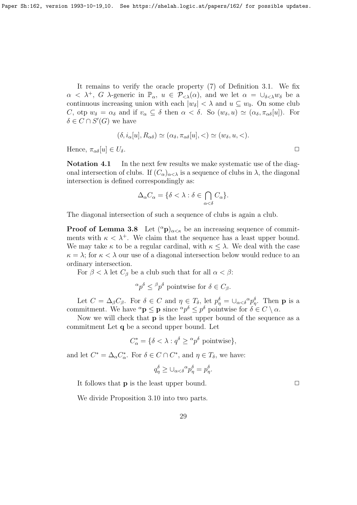It remains to verify the oracle property (7) of Definition 3.1. We fix  $\alpha < \lambda^+$ , G  $\lambda$ -generic in  $\mathbb{P}_{\alpha}$ ,  $u \in \mathcal{P}_{\leq \lambda}(\alpha)$ , and we let  $\alpha = \bigcup_{\delta \leq \lambda} w_{\delta}$  be a continuous increasing union with each  $|w_\delta| < \lambda$  and  $u \subseteq w_0$ . On some club C, otp  $w_{\delta} = \alpha_{\delta}$  and if  $v_{\alpha} \subseteq \delta$  then  $\alpha < \delta$ . So  $(w_{\delta}, u) \simeq (\alpha_{\delta}, \pi_{\alpha\delta}[u])$ . For  $\delta \in C \cap S'(G)$  we have

$$
(\delta, i_{\alpha}[u], R_{\alpha\delta}) \simeq (\alpha_{\delta}, \pi_{\alpha\delta}[u], <) \simeq (w_{\delta}, u, <).
$$

Hence,  $\pi_{\alpha\delta}[u] \in U_{\delta}$ .

Notation 4.1 In the next few results we make systematic use of the diagonal intersection of clubs. If  $(C_{\alpha})_{\alpha<\lambda}$  is a sequence of clubs in  $\lambda$ , the diagonal intersection is defined correspondingly as:

$$
\Delta_{\alpha}C_{\alpha} = \{ \delta < \lambda : \delta \in \bigcap_{\alpha < \delta} C_{\alpha} \}.
$$

The diagonal intersection of such a sequence of clubs is again a club.

**Proof of Lemma 3.8** Let  $({}^{\alpha}p)_{\alpha<\kappa}$  be an increasing sequence of commitments with  $\kappa < \lambda^+$ . We claim that the sequence has a least upper bound. We may take  $\kappa$  to be a regular cardinal, with  $\kappa \leq \lambda$ . We deal with the case  $\kappa = \lambda$ ; for  $\kappa < \lambda$  our use of a diagonal intersection below would reduce to an ordinary intersection.

For  $\beta < \lambda$  let  $C_{\beta}$  be a club such that for all  $\alpha < \beta$ :

$$
\alpha p^{\delta} \leq^{\beta} p^{\delta} \text{ pointwise for } \delta \in C_{\beta}.
$$

Let  $C = \Delta_{\beta} C_{\beta}$ . For  $\delta \in C$  and  $\eta \in T_{\delta}$ , let  $p_{\eta}^{\delta} = \cup_{\alpha < \delta}^{\alpha} p_{\eta}^{\delta}$ . Then **p** is a commitment. We have  ${}^{\alpha} \mathbf{p} \leq \mathbf{p}$  since  ${}^{\alpha} p^{\delta} \leq p^{\delta}$  pointwise for  $\delta \in C \setminus \alpha$ .

Now we will check that p is the least upper bound of the sequence as a commitment Let q be a second upper bound. Let

$$
C_{\alpha}^* = \{ \delta < \lambda : q^{\delta} \ge \alpha p^{\delta} \text{ pointwise} \},
$$

and let  $C^* = \Delta_{\alpha} C_{\alpha}^*$ . For  $\delta \in C \cap C^*$ , and  $\eta \in T_{\delta}$ , we have:

$$
q_{\eta}^{\delta} \geq \cup_{\alpha < \delta}^{\alpha} p_{\eta}^{\delta} = p_{\eta}^{\delta}.
$$

It follows that **p** is the least upper bound.  $\Box$ 

We divide Proposition 3.10 into two parts.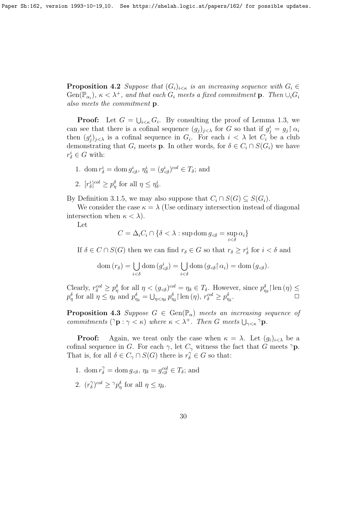**Proposition 4.2** Suppose that  $(G_i)_{i \leq \kappa}$  is an increasing sequence with  $G_i \in$  $Gen(\mathbb{P}_{\alpha_i})$ ,  $\kappa < \lambda^+$ , and that each  $G_i$  meets a fixed commitment **p**. Then  $\cup_i G_i$ also meets the commitment p.

**Proof:** Let  $G = \bigcup_{i \leq \kappa} G_i$ . By consulting the proof of Lemma 1.3, we can see that there is a cofinal sequence  $(g_j)_{j<\lambda}$  for G so that if  $g_j^i = g_j \upharpoonright \alpha_i$ then  $(g_j^i)_{j<\lambda}$  is a cofinal sequence in  $G_i$ . For each  $i < \lambda$  let  $C_i$  be a club demonstrating that  $G_i$  meets **p**. In other words, for  $\delta \in C_i \cap S(G_i)$  we have  $r_{\delta}^i \in G$  with:

- 1. dom  $r_{\delta}^{i} = \text{dom } g_{\leq \delta}^{i}, \eta_{\delta}^{i} = (g_{\leq \delta}^{i})^{col} \in T_{\delta}$ ; and
- 2.  $[r_{\delta}^i]^{col} \ge p_{\eta}^{\delta}$  for all  $\eta \le \eta_{\delta}^i$ .

By Definition 3.1.5, we may also suppose that  $C_i \cap S(G) \subseteq S(G_i)$ .

We consider the case  $\kappa = \lambda$  (Use ordinary intersection instead of diagonal intersection when  $\kappa < \lambda$ ).

Let

$$
C = \Delta_i C_i \cap \{ \delta < \lambda : \sup \operatorname{dom} g_{<\delta} = \sup_{i < \delta} \alpha_i \}
$$

If  $\delta \in C \cap S(G)$  then we can find  $r_{\delta} \in G$  so that  $r_{\delta} \geq r_{\delta}^i$  for  $i < \delta$  and

$$
\text{dom}(r_{\delta}) = \bigcup_{i < \delta} \text{dom}(g_{\leq \delta}^{i}) = \bigcup_{i < \delta} \text{dom}(g_{\leq \delta} \upharpoonright \alpha_{i}) = \text{dom}(g_{\leq \delta}).
$$

Clearly,  $r_{\delta}^{col} \ge p_{\eta}^{\delta}$  for all  $\eta < (g_{\le \delta})^{col} = \eta_{\delta} \in T_{\delta}$ . However, since  $p_{\eta_{\delta}}^{\delta}$  len  $(\eta) \le$  $p_{\eta}^{\delta}$  for all  $\eta \leq \eta_{\delta}$  and  $p_{\eta_{\delta}}^{\delta} = \bigcup_{\eta < \eta_{\delta}} p_{\eta_{\delta}}^{\delta}$  [len  $(\eta)$ ,  $r_{\delta}^{col} \geq p_{\eta_{\delta}}^{\delta}$ .

**Proposition 4.3** Suppose  $G \in \text{Gen}(\mathbb{P}_{\alpha})$  meets an increasing sequence of commitments  $({}^{\gamma}\mathbf{p} : \gamma < \kappa)$  where  $\kappa < \lambda^{+}$ . Then G meets  $\bigcup_{\gamma < \kappa} {}^{\gamma}\mathbf{p}$ .

**Proof:** Again, we treat only the case when  $\kappa = \lambda$ . Let  $(q_i)_{i \leq \lambda}$  be a cofinal sequence in G. For each  $\gamma$ , let  $C_{\gamma}$  witness the fact that G meets  ${}^{\gamma}$ **p**. That is, for all  $\delta \in C_{\gamma} \cap S(G)$  there is  $r_{\delta}^{\gamma} \in G$  so that:

- 1. dom  $r_{\delta}^{\gamma} = \text{dom } g_{\lessdot \delta}, \eta_{\delta} = g_{\lessdot \delta}^{col} \in T_{\delta}$ ; and
- 2.  $(r_{\delta}^{\gamma})$  $\int_{\delta}^{\gamma} \gamma^{col} \geq \gamma p_{\eta}^{\delta}$  for all  $\eta \leq \eta_{\delta}$ .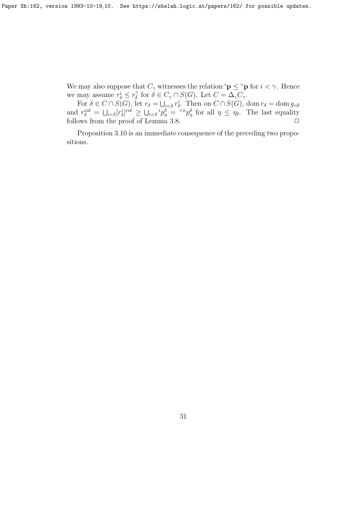We may also suppose that  $C_{\gamma}$  witnesses the relation  ${}^{i}$ **p**  $\leq$   ${}^{\gamma}$ **p** for  $i < \gamma$ . Hence we may assume  $r^i_\delta \leq r^{\gamma}_\delta$  $\delta$  for  $\delta \in C_{\gamma} \cap S(G)$ . Let  $C = \Delta_{\gamma} C_{\gamma}$ .

For  $\delta \in C \cap S(G)$ , let  $r_{\delta} = \bigcup_{i < \delta} r_{\delta}^i$ . Then on  $C \cap S(G)$ , dom  $r_{\delta} = \text{dom } g_{\leq \delta}$ and  $r_{\delta}^{col} = \bigcup_{i < \delta} [r_{\delta}^{i}]^{col} \ge \bigcup_{i < \delta} i p_{\eta}^{\delta} = \langle \kappa p_{\eta}^{\delta} \rangle$  for all  $\eta \le \eta_{\delta}$ . The last equality follows from the proof of Lemma 3.8.  $\Box$ 

Proposition 3.10 is an immediate consequence of the preceding two propositions.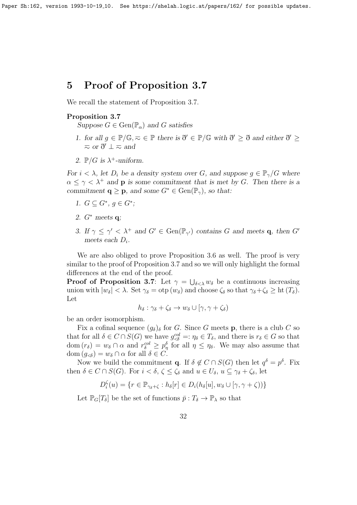# 5 Proof of Proposition 3.7

We recall the statement of Proposition 3.7.

# Proposition 3.7

Suppose  $G \in \text{Gen}(\mathbb{P}_{\alpha})$  and G satisfies

- 1. for all  $g \in \mathbb{P}/\mathbb{G}, \bar{\infty} \in \mathbb{P}$  there is  $\eth' \in \mathbb{P}/\mathbb{G}$  with  $\eth' \geq \eth$  and either  $\eth' \geq$  $\overline{\sim}$  or  $\eth' \perp \overline{\sim}$  and
- 2.  $\mathbb{P}/G$  is  $\lambda^+$ -uniform.

For  $i < \lambda$ , let  $D_i$  be a density system over G, and suppose  $g \in \mathbb{P}_\gamma/G$  where  $\alpha \leq \gamma \leq \lambda^+$  and **p** is some commitment that is met by G. Then there is a commitment  $\mathbf{q} \geq \mathbf{p}$ , and some  $G^* \in \text{Gen}(\mathbb{P}_{\gamma})$ , so that:

- 1.  $G \subseteq G^*, g \in G^*$ ;
- 2. *G*<sup>∗</sup> meets **q**;
- 3. If  $\gamma \leq \gamma' < \lambda^+$  and  $G' \in \text{Gen}(\mathbb{P}_{\gamma'})$  contains G and meets **q**, then G' meets each  $D_i$ .

We are also obliged to prove Proposition 3.6 as well. The proof is very similar to the proof of Proposition 3.7 and so we will only highlight the formal differences at the end of the proof.

**Proof of Proposition 3.7**: Let  $\gamma = \bigcup_{\delta \leq \lambda} w_{\delta}$  be a continuous increasing union with  $|w_\delta| < \lambda$ . Set  $\gamma_\delta = \text{otp}(w_\delta)$  and choose  $\zeta_\delta$  so that  $\gamma_\delta + \zeta_\delta \geq \text{ht}(T_\delta)$ . Let

$$
h_{\delta}:\gamma_{\delta}+\zeta_{\delta}\to w_{\delta}\cup[\gamma,\gamma+\zeta_{\delta})
$$

be an order isomorphism.

Fix a cofinal sequence  $(g_{\delta})_{\delta}$  for G. Since G meets **p**, there is a club C so that for all  $\delta \in C \cap S(G)$  we have  $g^{col}_{\leq \delta} =: \eta_{\delta} \in T_{\delta}$ , and there is  $r_{\delta} \in G$  so that dom  $(r_\delta) = w_\delta \cap \alpha$  and  $r_\delta^{col} \geq p_\eta^\delta$  for all  $\eta \leq \eta_\delta$ . We may also assume that dom  $(g_{\leq \delta}) = w_{\delta} \cap \alpha$  for all  $\delta \in C$ .

Now we build the commitment **q**. If  $\delta \notin C \cap S(G)$  then let  $q^{\delta} = p^{\delta}$ . Fix then  $\delta \in C \cap S(G)$ . For  $i < \delta, \zeta \leq \zeta_{\delta}$  and  $u \in U_{\delta}, u \subseteq \gamma_{\delta} + \zeta_{\delta}$ , let

$$
D_i^{\zeta}(u) = \{r \in \mathbb{P}_{\gamma_{\delta} + \zeta} : h_{\delta}[r] \in D_i(h_{\delta}[u], w_{\delta} \cup [\gamma, \gamma + \zeta))\}
$$

Let  $\mathbb{P}_G[T_\delta]$  be the set of functions  $\bar{p}:T_\delta\to\mathbb{P}_\lambda$  so that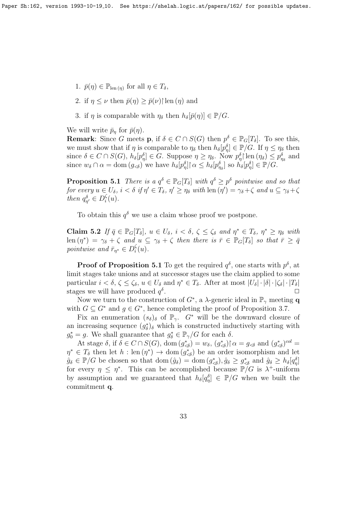- 1.  $\bar{p}(\eta) \in \mathbb{P}_{\text{len}(\eta)}$  for all  $\eta \in T_{\delta}$ ,
- 2. if  $\eta \leq \nu$  then  $\bar{p}(\eta) \geq \bar{p}(\nu)$  len  $(\eta)$  and
- 3. if  $\eta$  is comparable with  $\eta_{\delta}$  then  $h_{\delta}[\bar{p}(\eta)] \in \mathbb{P}/G$ .

We will write  $\bar{p}_\eta$  for  $\bar{p}(\eta)$ .

**Remark**: Since G meets **p**, if  $\delta \in C \cap S(G)$  then  $p^{\delta} \in \mathbb{P}_{G}[T_{\delta}]$ . To see this, we must show that if  $\eta$  is comparable to  $\eta_\delta$  then  $h_\delta[p_\eta^\delta] \in \mathbb{P}/G$ . If  $\eta \leq \eta_\delta$  then since  $\delta \in C \cap S(G)$ ,  $h_{\delta}[p_{\eta}^{\delta}] \in G$ . Suppose  $\eta \geq \eta_{\delta}$ . Now  $p_{\eta}^{\delta}$  len  $(\eta_{\delta}) \leq p_{\eta_{\delta}}^{\delta}$  and since  $w_{\delta} \cap \alpha = \text{dom}(g_{\leq \delta})$  we have  $h_{\delta}[p_{\eta}^{\delta}] \cap \alpha \leq h_{\delta}[p_{\eta_{\delta}}^{\delta}]$  so  $h_{\delta}[p_{\eta}^{\delta}] \in \mathbb{P}/G$ .

**Proposition 5.1** There is a  $q^{\delta} \in \mathbb{P}_G[T_{\delta}]$  with  $q^{\delta} \geq p^{\delta}$  pointwise and so that for every  $u \in U_{\delta}$ ,  $i < \delta$  if  $\eta' \in T_{\delta}$ ,  $\eta' \ge \eta_{\delta}$  with len  $(\eta') = \gamma_{\delta} + \zeta$  and  $u \subseteq \gamma_{\delta} + \zeta$ then  $q_{\eta'}^{\delta} \in D_i^{\zeta}$  $\frac{\varsigma}{i}(u)$ .

To obtain this  $q^{\delta}$  we use a claim whose proof we postpone.

**Claim 5.2** If  $\bar{q} \in \mathbb{P}_G[T_\delta], u \in U_\delta, i < \delta, \zeta \leq \zeta_\delta$  and  $\eta^* \in T_\delta, \eta^* \geq \eta_\delta$  with  $\text{len}(\eta^*) = \gamma_\delta + \zeta \text{ and } u \subseteq \gamma_\delta + \zeta \text{ then there is } \bar{r} \in \mathbb{P}_G[T_\delta] \text{ so that } \bar{r} \geq \bar{q}$ pointwise and  $\bar{r}_{\eta^*} \in D_i^{\zeta}$  $\frac{\varsigma}{i}(u)$ .

**Proof of Proposition 5.1** To get the required  $q^{\delta}$ , one starts with  $p^{\delta}$ , at limit stages take unions and at successor stages use the claim applied to some particular  $i < \delta, \zeta \leq \zeta_{\delta}, u \in U_{\delta}$  and  $\eta^* \in T_{\delta}$ . After at most  $|U_{\delta}| \cdot |\zeta_{\delta}| \cdot |T_{\delta}|$ stages we will have produced  $q^{\delta}$ .  $\Box$ 

Now we turn to the construction of  $G^*$ , a  $\lambda$ -generic ideal in  $\mathbb{P}_{\gamma}$  meeting **q** with  $G \subseteq G^*$  and  $g \in G^*$ , hence completing the proof of Proposition 3.7.

Fix an enumeration  $(s_{\delta})_{\delta}$  of  $\mathbb{P}_{\gamma}$ .  $G^*$  will be the downward closure of an increasing sequence  $(g_{\delta})_{\delta}$  which is constructed inductively starting with  $g_0^* = g$ . We shall guarantee that  $g_\delta^* \in \mathbb{P}_\gamma/G$  for each  $\delta$ .

At stage  $\delta$ , if  $\delta \in C \cap S(G)$ , dom  $(g^*_{\leq \delta}) = w_{\delta}$ ,  $(g^*_{\leq \delta}) \upharpoonright \alpha = g_{\leq \delta}$  and  $(g^*_{\leq \delta})^{col}$  $\eta^* \in T_\delta$  then let  $h: \text{len}(\eta^*) \to \text{dom}(g^*_{\leq \delta})$  be an order isomorphism and let  $\hat{g}_{\delta} \in \mathbb{P}/G$  be chosen so that dom  $(\hat{g}_{\delta}) = \text{dom}(g^*_{\leq \delta}), \hat{g}_{\delta} \geq g^*_{\leq \delta}$  and  $\hat{g}_{\delta} \geq h_{\delta}[q^{\delta}_{\eta}]$ for every  $\eta \leq \eta^*$ . This can be accomplished because  $\mathbb{P}/G$  is  $\lambda^+$ -uniform by assumption and we guaranteed that  $h_{\delta}[q_{\eta}^{\delta}] \in \mathbb{P}/G$  when we built the commitment q.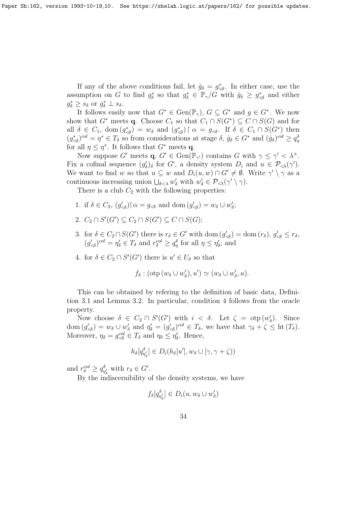If any of the above conditions fail, let  $\hat{g}_{\delta} = g^*_{\leq \delta}$ . In either case, use the assumption on G to find  $g_{\delta}^*$  so that  $g_{\delta}^* \in \mathbb{P}_\gamma/G$  with  $\hat{g}_{\delta} \geq g_{\delta}^*$  and either  $g_{\delta}^* \geq s_{\delta}$  or  $g_{\delta}^* \perp s_{\delta}$ .

It follows easily now that  $G^* \in \text{Gen}(\mathbb{P}_{\gamma}), G \subseteq G^*$  and  $g \in G^*$ . We now show that  $G^*$  meets **q**. Choose  $C_1$  so that  $C_1 \cap S(G^*) \subseteq C \cap S(G)$  and for all  $\delta \in C_1$ , dom  $(g^*_{\leq \delta}) = w_{\delta}$  and  $(g^*_{\leq \delta}) \upharpoonright \alpha = g_{\leq \delta}$ . If  $\delta \in C_1 \cap S(G^*)$  then  $(g^*_{\leq \delta})^{col} = \eta^* \in T_{\delta}$  so from considerations at stage  $\delta$ ,  $\hat{g}_{\delta} \in G^*$  and  $(\hat{g}_{\delta})^{col} \geq q_{\eta}^{\delta}$ for all  $\eta \leq \eta^*$ . It follows that  $G^*$  meets **q**.

Now suppose G' meets  $\mathbf{q}, G' \in \text{Gen}(\mathbb{P}_{\gamma})$  contains G with  $\gamma \leq \gamma' < \lambda^+$ . Fix a cofinal sequence  $(g'_\delta)_\delta$  for G', a density system  $D_i$  and  $u \in \mathcal{P}_{\leq \lambda}(\gamma')$ . We want to find w so that  $u \subseteq w$  and  $D_i(u, w) \cap G' \neq \emptyset$ . Write  $\gamma' \setminus \gamma$  as a continuous increasing union  $\bigcup_{\delta<\lambda} w'_{\delta}$  with  $w'_{\delta} \in \mathcal{P}_{\leq \lambda}(\gamma' \setminus \gamma)$ .

There is a club  $C_2$  with the following properties:

- 1. if  $\delta \in C_2$ ,  $(g'_{\prec \delta}) \upharpoonright \alpha = g_{\prec \delta}$  and dom  $(g'_{\prec \delta}) = w_{\delta} \cup w'_{\delta}$ ;
- 2.  $C_2 \cap S'(G') \subseteq C_2 \cap S(G') \subseteq C \cap S(G);$
- 3. for  $\delta \in C_2 \cap S(G')$  there is  $r_{\delta} \in G'$  with dom  $(g'_{\prec \delta}) = \text{dom}(r_{\delta}), g'_{\prec \delta} \leq r_{\delta}$ ,  $(g'_{\leq \delta})^{col} = \eta'_{\delta} \in T_{\delta}$  and  $r_{\delta}^{col} \geq q_{\eta}^{\delta}$  for all  $\eta \leq \eta'_{\delta}$ ; and
- 4. for  $\delta \in C_2 \cap S'(G')$  there is  $u' \in U_{\delta}$  so that

$$
f_{\delta}: (\text{otp}(w_{\delta} \cup w_{\delta}'), u') \simeq (w_{\delta} \cup w_{\delta}', u).
$$

This can be obtained by refering to the definition of basic data, Definition 3.1 and Lemma 3.2. In particular, condition 4 follows from the oracle property.

Now choose  $\delta \in C_2 \cap S'(G')$  with  $i < \delta$ . Let  $\zeta = \text{otp}(w'_\delta)$ . Since dom  $(g'_{\leq \delta}) = w_{\delta} \cup w'_{\delta}$  and  $\eta'_{\delta} = (g'_{\leq \delta})^{col} \in T_{\delta}$ , we have that  $\gamma_{\delta} + \zeta \leq$  ht  $(T_{\delta})$ . Moreover,  $\eta_{\delta} = g_{\leq \delta}^{col} \in T_{\delta}$  and  $\eta_{\delta} \leq \eta'_{\delta}$ . Hence,

$$
h_{\delta}[q_{\eta'_{\delta}}^{\delta}] \in D_i(h_{\delta}[u'], w_{\delta} \cup [\gamma, \gamma + \zeta))
$$

and  $r_{\delta}^{col} \ge q_{\eta_{\delta}}^{\delta}$  with  $r_{\delta} \in G'$ .

By the indiscernibility of the density systems, we have

$$
f_{\delta}[q_{\eta'_{\delta}}^{\delta}] \in D_i(u, w_{\delta} \cup w_{\delta}')
$$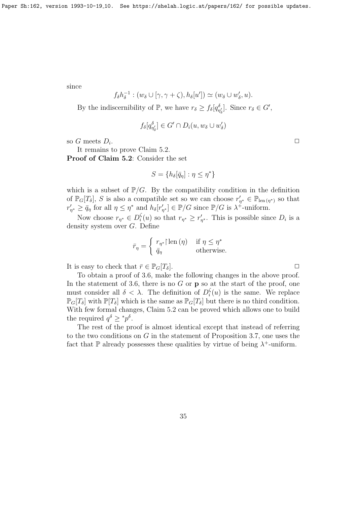since

$$
f_{\delta}h_{\delta}^{-1}:(w_{\delta}\cup[\gamma,\gamma+\zeta),h_{\delta}[u'])\simeq(w_{\delta}\cup w'_{\delta},u).
$$

By the indiscernibility of  $\mathbb{P}$ , we have  $r_{\delta} \ge f_{\delta}[q_{\eta'_{\delta}}^{\delta}]$ . Since  $r_{\delta} \in G'$ ,

$$
f_{\delta}[q_{\eta'_{\delta}}^{\delta}] \in G' \cap D_i(u, w_{\delta} \cup w_{\delta}')
$$

so G meets  $D_i$ .

It remains to prove Claim 5.2.

Proof of Claim 5.2: Consider the set

$$
S = \{ h_\delta[\bar{q}_\eta] : \eta \le \eta^* \}
$$

which is a subset of  $\mathbb{P}/G$ . By the compatibility condition in the definition of  $\mathbb{P}_G[T_\delta], S$  is also a compatible set so we can choose  $r'_{\eta^*} \in \mathbb{P}_{len(\eta^*)}$  so that  $r'_{\eta^*} \geq \bar{q}_{\eta}$  for all  $\eta \leq \eta^*$  and  $h_{\delta}[r'_{\eta^*}] \in \mathbb{P}/G$  since  $\mathbb{P}/G$  is  $\lambda^+$ -uniform.

Now choose  $r_{\eta^*} \in D_i^{\zeta}$  $\zeta_i(u)$  so that  $r_{\eta^*} \geq r'_{\eta^*}$ . This is possible since  $D_i$  is a density system over G. Define

$$
\bar{r}_{\eta} = \begin{cases} r_{\eta^*} \mid \text{len}(\eta) & \text{if } \eta \le \eta^* \\ \bar{q}_{\eta} & \text{otherwise.} \end{cases}
$$

It is easy to check that  $\bar{r} \in \mathbb{P}_G[T_\delta].$ 

To obtain a proof of 3.6, make the following changes in the above proof. In the statement of 3.6, there is no  $G$  or  $\bf{p}$  so at the start of the proof, one must consider all  $\delta < \lambda$ . The definition of  $D_i^{\zeta}$  $i<sub>i</sub>(u)$  is the same. We replace  $\mathbb{P}_G[T_\delta]$  with  $\mathbb{P}[T_\delta]$  which is the same as  $\mathbb{P}_G[T_\delta]$  but there is no third condition. With few formal changes, Claim 5.2 can be proved which allows one to build the required  $q^{\delta} \geq {}^*p^{\delta}$ .

The rest of the proof is almost identical except that instead of referring to the two conditions on  $G$  in the statement of Proposition 3.7, one uses the fact that  $\mathbb P$  already possesses these qualities by virtue of being  $\lambda^+$ -uniform.

.  $\Box$